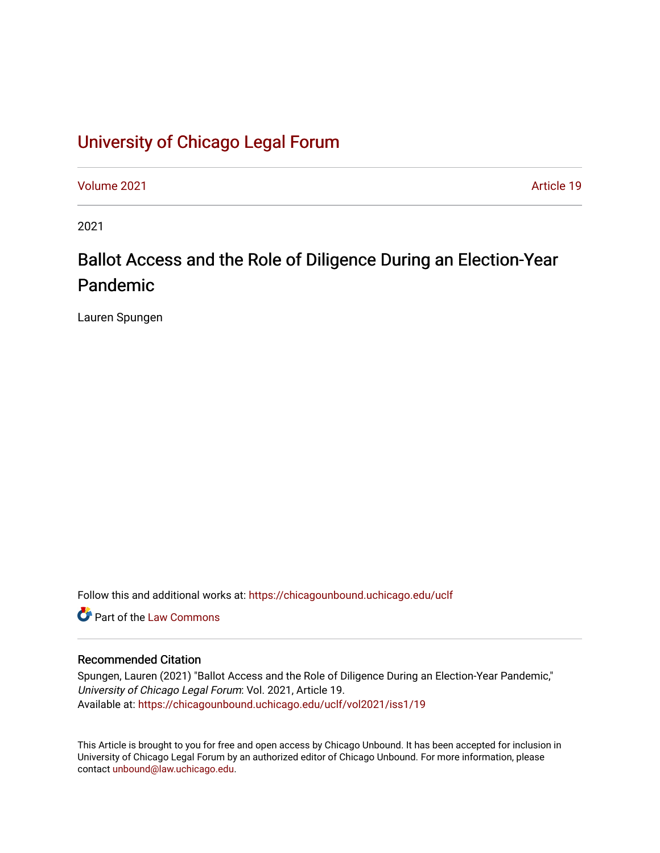# [University of Chicago Legal Forum](https://chicagounbound.uchicago.edu/uclf)

[Volume 2021](https://chicagounbound.uchicago.edu/uclf/vol2021) [Article 19](https://chicagounbound.uchicago.edu/uclf/vol2021/iss1/19) 

2021

# Ballot Access and the Role of Diligence During an Election-Year Pandemic

Lauren Spungen

Follow this and additional works at: [https://chicagounbound.uchicago.edu/uclf](https://chicagounbound.uchicago.edu/uclf?utm_source=chicagounbound.uchicago.edu%2Fuclf%2Fvol2021%2Fiss1%2F19&utm_medium=PDF&utm_campaign=PDFCoverPages) 

**C** Part of the [Law Commons](https://network.bepress.com/hgg/discipline/578?utm_source=chicagounbound.uchicago.edu%2Fuclf%2Fvol2021%2Fiss1%2F19&utm_medium=PDF&utm_campaign=PDFCoverPages)

# Recommended Citation

Spungen, Lauren (2021) "Ballot Access and the Role of Diligence During an Election-Year Pandemic," University of Chicago Legal Forum: Vol. 2021, Article 19. Available at: [https://chicagounbound.uchicago.edu/uclf/vol2021/iss1/19](https://chicagounbound.uchicago.edu/uclf/vol2021/iss1/19?utm_source=chicagounbound.uchicago.edu%2Fuclf%2Fvol2021%2Fiss1%2F19&utm_medium=PDF&utm_campaign=PDFCoverPages)

This Article is brought to you for free and open access by Chicago Unbound. It has been accepted for inclusion in University of Chicago Legal Forum by an authorized editor of Chicago Unbound. For more information, please contact [unbound@law.uchicago.edu](mailto:unbound@law.uchicago.edu).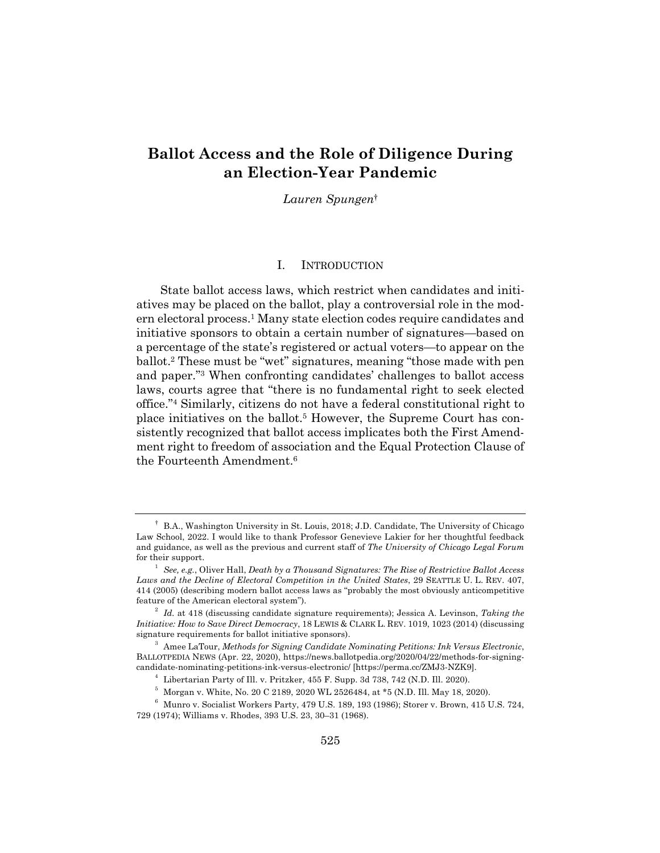# **Ballot Access and the Role of Diligence During an Election-Year Pandemic**

*Lauren Spungen*†

#### I. INTRODUCTION

State ballot access laws, which restrict when candidates and initiatives may be placed on the ballot, play a controversial role in the modern electoral process.1 Many state election codes require candidates and initiative sponsors to obtain a certain number of signatures—based on a percentage of the state's registered or actual voters—to appear on the ballot.2 These must be "wet" signatures, meaning "those made with pen and paper."3 When confronting candidates' challenges to ballot access laws, courts agree that "there is no fundamental right to seek elected office."4 Similarly, citizens do not have a federal constitutional right to place initiatives on the ballot.5 However, the Supreme Court has consistently recognized that ballot access implicates both the First Amendment right to freedom of association and the Equal Protection Clause of the Fourteenth Amendment.6

<sup>†</sup> B.A., Washington University in St. Louis, 2018; J.D. Candidate, The University of Chicago Law School, 2022. I would like to thank Professor Genevieve Lakier for her thoughtful feedback and guidance, as well as the previous and current staff of *The University of Chicago Legal Forum* for their support.

<sup>1</sup> *See, e.g.*, Oliver Hall, *Death by a Thousand Signatures: The Rise of Restrictive Ballot Access Laws and the Decline of Electoral Competition in the United States*, 29 SEATTLE U. L. REV. 407, 414 (2005) (describing modern ballot access laws as "probably the most obviously anticompetitive feature of the American electoral system").

<sup>2</sup> *Id.* at 418 (discussing candidate signature requirements); Jessica A. Levinson, *Taking the Initiative: How to Save Direct Democracy*, 18 LEWIS & CLARK L. REV. 1019, 1023 (2014) (discussing signature requirements for ballot initiative sponsors).

<sup>3</sup> Amee LaTour, *Methods for Signing Candidate Nominating Petitions: Ink Versus Electronic*, BALLOTPEDIA NEWS (Apr. 22, 2020), https://news.ballotpedia.org/2020/04/22/methods-for-signingcandidate-nominating-petitions-ink-versus-electronic/ [https://perma.cc/ZMJ3-NZK9].

 $^4\;$  Libertarian Party of Ill. v. Pritzker, 455 F. Supp. 3d 738, 742 (N.D. Ill. 2020).

 $^5\,$  Morgan v. White, No. 20 C 2189, 2020 WL 2526484, at \*5 (N.D. Ill. May 18, 2020).

 $^6$  Munro v. Socialist Workers Party, 479 U.S. 189, 193 (1986); Storer v. Brown, 415 U.S. 724, 729 (1974); Williams v. Rhodes, 393 U.S. 23, 30–31 (1968).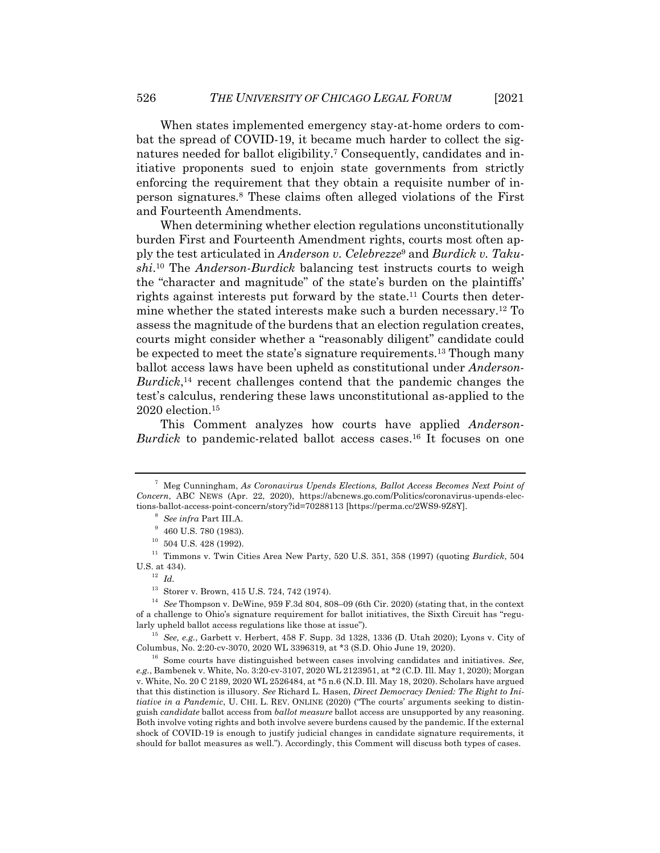When states implemented emergency stay-at-home orders to combat the spread of COVID-19, it became much harder to collect the signatures needed for ballot eligibility.7 Consequently, candidates and initiative proponents sued to enjoin state governments from strictly enforcing the requirement that they obtain a requisite number of inperson signatures.8 These claims often alleged violations of the First and Fourteenth Amendments.

When determining whether election regulations unconstitutionally burden First and Fourteenth Amendment rights, courts most often apply the test articulated in *Anderson v. Celebrezze*<sup>9</sup> and *Burdick v. Takushi*. <sup>10</sup> The *Anderson*-*Burdick* balancing test instructs courts to weigh the "character and magnitude" of the state's burden on the plaintiffs' rights against interests put forward by the state.<sup>11</sup> Courts then determine whether the stated interests make such a burden necessary.12 To assess the magnitude of the burdens that an election regulation creates, courts might consider whether a "reasonably diligent" candidate could be expected to meet the state's signature requirements.13 Though many ballot access laws have been upheld as constitutional under *Anderson*-*Burdick*, <sup>14</sup> recent challenges contend that the pandemic changes the test's calculus, rendering these laws unconstitutional as-applied to the 2020 election.15

This Comment analyzes how courts have applied *Anderson*-*Burdick* to pandemic-related ballot access cases.16 It focuses on one

<sup>7</sup> Meg Cunningham, *As Coronavirus Upends Elections, Ballot Access Becomes Next Point of Concern*, ABC NEWS (Apr. 22, 2020), https://abcnews.go.com/Politics/coronavirus-upends-elections-ballot-access-point-concern/story?id=70288113 [https://perma.cc/2WS9-9Z8Y].

<sup>8</sup> *See infra* Part III.A.

 $9$  460 U.S. 780 (1983).

 $^{10}\,$  504 U.S. 428 (1992).

<sup>11</sup> Timmons v. Twin Cities Area New Party, 520 U.S. 351, 358 (1997) (quoting *Burdick*, 504 U.S. at 434).

<sup>12</sup> *Id.*

<sup>13</sup> Storer v. Brown, 415 U.S. 724, 742 (1974).

<sup>14</sup> *See* Thompson v. DeWine, 959 F.3d 804, 808–09 (6th Cir. 2020) (stating that, in the context of a challenge to Ohio's signature requirement for ballot initiatives, the Sixth Circuit has "regularly upheld ballot access regulations like those at issue").

<sup>15</sup> *See, e.g.*, Garbett v. Herbert, 458 F. Supp. 3d 1328, 1336 (D. Utah 2020); Lyons v. City of Columbus, No. 2:20-cv-3070, 2020 WL 3396319, at \*3 (S.D. Ohio June 19, 2020).

<sup>16</sup> Some courts have distinguished between cases involving candidates and initiatives. *See, e.g.*, Bambenek v. White, No. 3:20-cv-3107, 2020 WL 2123951, at \*2 (C.D. Ill. May 1, 2020); Morgan v. White, No. 20 C 2189, 2020 WL 2526484, at \*5 n.6 (N.D. Ill. May 18, 2020). Scholars have argued that this distinction is illusory. *See* Richard L. Hasen, *Direct Democracy Denied: The Right to Initiative in a Pandemic*, U. CHI. L. REV. ONLINE (2020) ("The courts' arguments seeking to distinguish *candidate* ballot access from *ballot measure* ballot access are unsupported by any reasoning. Both involve voting rights and both involve severe burdens caused by the pandemic. If the external shock of COVID-19 is enough to justify judicial changes in candidate signature requirements, it should for ballot measures as well."). Accordingly, this Comment will discuss both types of cases.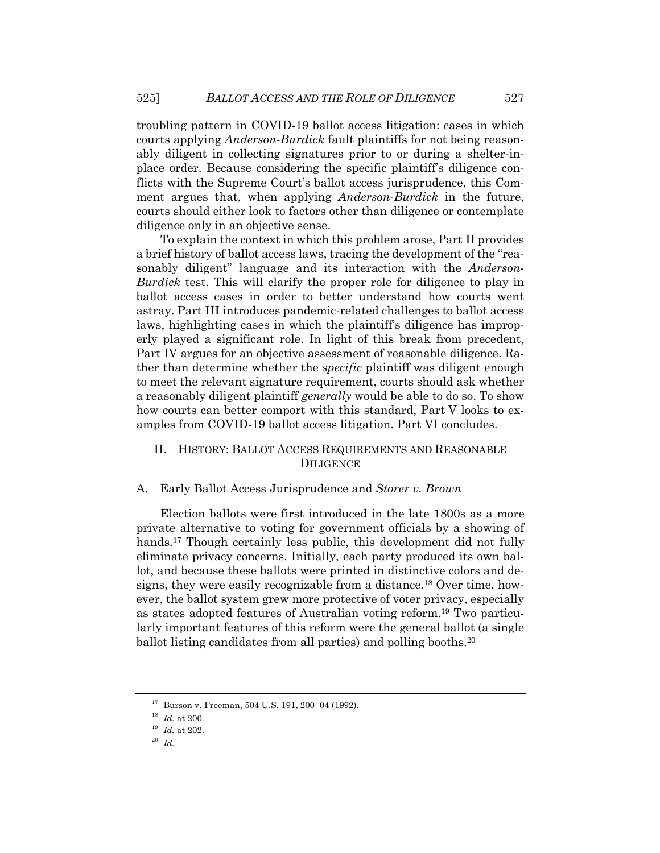troubling pattern in COVID-19 ballot access litigation: cases in which courts applying *Anderson*-*Burdick* fault plaintiffs for not being reasonably diligent in collecting signatures prior to or during a shelter-inplace order. Because considering the specific plaintiff's diligence conflicts with the Supreme Court's ballot access jurisprudence, this Comment argues that, when applying *Anderson*-*Burdick* in the future, courts should either look to factors other than diligence or contemplate diligence only in an objective sense.

To explain the context in which this problem arose, Part II provides a brief history of ballot access laws, tracing the development of the "reasonably diligent" language and its interaction with the *Anderson*-*Burdick* test. This will clarify the proper role for diligence to play in ballot access cases in order to better understand how courts went astray. Part III introduces pandemic-related challenges to ballot access laws, highlighting cases in which the plaintiff's diligence has improperly played a significant role. In light of this break from precedent, Part IV argues for an objective assessment of reasonable diligence. Rather than determine whether the *specific* plaintiff was diligent enough to meet the relevant signature requirement, courts should ask whether a reasonably diligent plaintiff *generally* would be able to do so. To show how courts can better comport with this standard, Part V looks to examples from COVID-19 ballot access litigation. Part VI concludes.

### II. HISTORY: BALLOT ACCESS REQUIREMENTS AND REASONABLE DILIGENCE

#### A. Early Ballot Access Jurisprudence and *Storer v. Brown*

Election ballots were first introduced in the late 1800s as a more private alternative to voting for government officials by a showing of hands.<sup>17</sup> Though certainly less public, this development did not fully eliminate privacy concerns. Initially, each party produced its own ballot, and because these ballots were printed in distinctive colors and designs, they were easily recognizable from a distance. <sup>18</sup> Over time, however, the ballot system grew more protective of voter privacy, especially as states adopted features of Australian voting reform.19 Two particularly important features of this reform were the general ballot (a single ballot listing candidates from all parties) and polling booths.20

<sup>17</sup> Burson v. Freeman, 504 U.S. 191, 200–04 (1992).

<sup>18</sup> *Id.* at 200.

<sup>19</sup> *Id.* at 202.

<sup>20</sup> *Id.*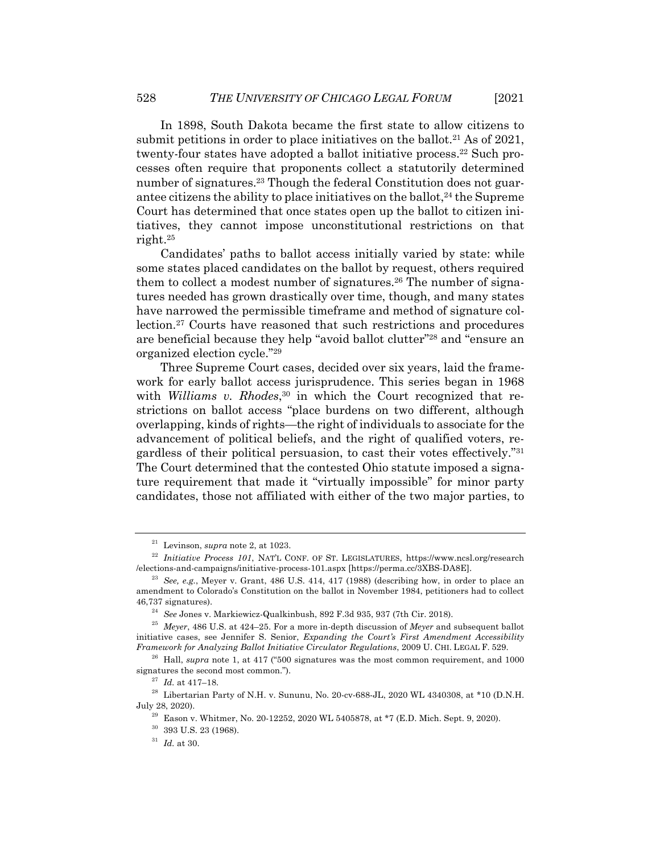In 1898, South Dakota became the first state to allow citizens to submit petitions in order to place initiatives on the ballot.<sup>21</sup> As of 2021, twenty-four states have adopted a ballot initiative process.<sup>22</sup> Such processes often require that proponents collect a statutorily determined number of signatures.<sup>23</sup> Though the federal Constitution does not guarantee citizens the ability to place initiatives on the ballot,<sup>24</sup> the Supreme Court has determined that once states open up the ballot to citizen initiatives, they cannot impose unconstitutional restrictions on that right.25

Candidates' paths to ballot access initially varied by state: while some states placed candidates on the ballot by request, others required them to collect a modest number of signatures.26 The number of signatures needed has grown drastically over time, though, and many states have narrowed the permissible timeframe and method of signature collection.27 Courts have reasoned that such restrictions and procedures are beneficial because they help "avoid ballot clutter"28 and "ensure an organized election cycle."29

Three Supreme Court cases, decided over six years, laid the framework for early ballot access jurisprudence. This series began in 1968 with *Williams v. Rhodes*, <sup>30</sup> in which the Court recognized that restrictions on ballot access "place burdens on two different, although overlapping, kinds of rights—the right of individuals to associate for the advancement of political beliefs, and the right of qualified voters, regardless of their political persuasion, to cast their votes effectively."31 The Court determined that the contested Ohio statute imposed a signature requirement that made it "virtually impossible" for minor party candidates, those not affiliated with either of the two major parties, to

<sup>21</sup> Levinson, *supra* note 2, at 1023.

<sup>22</sup> *Initiative Process 101*, NAT'L CONF. OF ST. LEGISLATURES, https://www.ncsl.org/research /elections-and-campaigns/initiative-process-101.aspx [https://perma.cc/3XBS-DA8E].

<sup>23</sup> *See, e.g.*, Meyer v. Grant, 486 U.S. 414, 417 (1988) (describing how, in order to place an amendment to Colorado's Constitution on the ballot in November 1984, petitioners had to collect 46,737 signatures).

<sup>24</sup> *See* Jones v. Markiewicz-Qualkinbush, 892 F.3d 935, 937 (7th Cir. 2018).

<sup>25</sup> *Meyer*, 486 U.S. at 424–25. For a more in-depth discussion of *Meyer* and subsequent ballot initiative cases, see Jennifer S. Senior, *Expanding the Court's First Amendment Accessibility Framework for Analyzing Ballot Initiative Circulator Regulations*, 2009 U. CHI. LEGAL F. 529.

<sup>&</sup>lt;sup>26</sup> Hall, *supra* note 1, at 417 ("500 signatures was the most common requirement, and 1000 signatures the second most common.").

<sup>27</sup> *Id.* at 417–18.

 $^{28}\,$  Libertarian Party of N.H. v. Sununu, No. 20-cv-688-JL, 2020 WL 4340308, at \*10 (D.N.H. July 28, 2020).

 $29$  Eason v. Whitmer, No. 20-12252, 2020 WL 5405878, at \*7 (E.D. Mich. Sept. 9, 2020).

 $30$  393 U.S. 23 (1968).

 $^{31}\,$   $Id.\,$  at 30.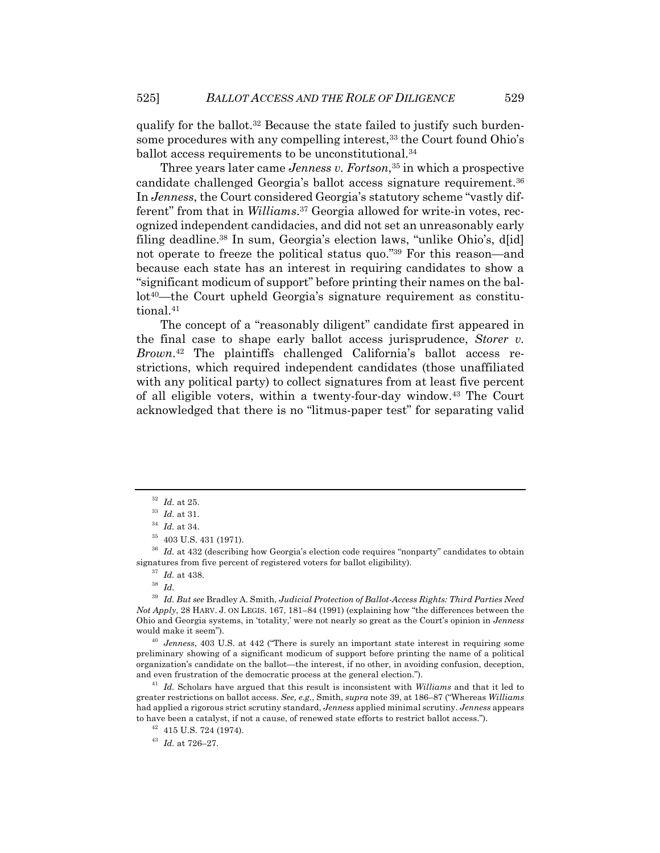qualify for the ballot.32 Because the state failed to justify such burdensome procedures with any compelling interest,<sup>33</sup> the Court found Ohio's ballot access requirements to be unconstitutional.34

Three years later came *Jenness v. Fortson*<sup>35</sup> in which a prospective candidate challenged Georgia's ballot access signature requirement.36 In *Jenness*, the Court considered Georgia's statutory scheme "vastly different" from that in *Williams*. <sup>37</sup> Georgia allowed for write-in votes, recognized independent candidacies, and did not set an unreasonably early filing deadline.38 In sum, Georgia's election laws, "unlike Ohio's, d[id] not operate to freeze the political status quo."39 For this reason—and because each state has an interest in requiring candidates to show a "significant modicum of support" before printing their names on the ballot<sup>40</sup>—the Court upheld Georgia's signature requirement as constitutional.41

The concept of a "reasonably diligent" candidate first appeared in the final case to shape early ballot access jurisprudence, *Storer v. Brown*. <sup>42</sup> The plaintiffs challenged California's ballot access restrictions, which required independent candidates (those unaffiliated with any political party) to collect signatures from at least five percent of all eligible voters, within a twenty-four-day window.43 The Court acknowledged that there is no "litmus-paper test" for separating valid

<sup>38</sup> *Id.*

<sup>40</sup> *Jenness*, 403 U.S. at 442 ("There is surely an important state interest in requiring some preliminary showing of a significant modicum of support before printing the name of a political organization's candidate on the ballot—the interest, if no other, in avoiding confusion, deception, and even frustration of the democratic process at the general election.").

<sup>41</sup> *Id.* Scholars have argued that this result is inconsistent with *Williams* and that it led to greater restrictions on ballot access. *See, e.g.*, Smith, *supra* note 39, at 186–87 ("Whereas *Williams* had applied a rigorous strict scrutiny standard, *Jenness* applied minimal scrutiny. *Jenness* appears to have been a catalyst, if not a cause, of renewed state efforts to restrict ballot access.").

<sup>43</sup> *Id.* at 726–27.

<sup>32</sup> *Id.* at 25.

<sup>33</sup> *Id.* at 31.

<sup>34</sup> *Id.* at 34.

 $^{35}\,$  403 U.S. 431 (1971).

<sup>&</sup>lt;sup>36</sup> *Id.* at 432 (describing how Georgia's election code requires "nonparty" candidates to obtain signatures from five percent of registered voters for ballot eligibility).

<sup>37</sup> *Id.* at 438.

<sup>39</sup> *Id. But see* Bradley A. Smith, *Judicial Protection of Ballot-Access Rights: Third Parties Need Not Apply*, 28 HARV. J. ON LEGIS. 167, 181–84 (1991) (explaining how "the differences between the Ohio and Georgia systems, in 'totality,' were not nearly so great as the Court's opinion in *Jenness* would make it seem").

 $42$  415 U.S. 724 (1974).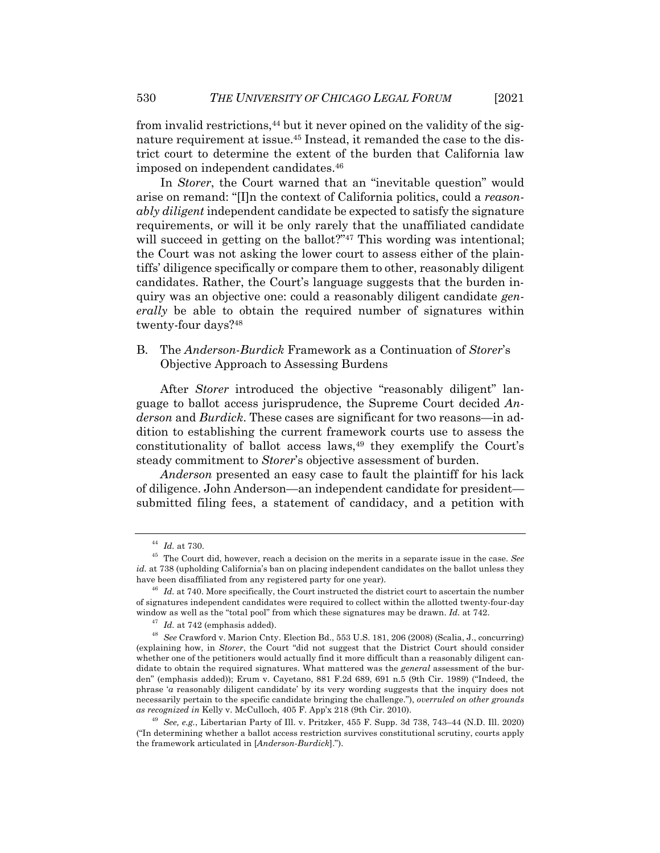from invalid restrictions,  $44$  but it never opined on the validity of the signature requirement at issue.45 Instead, it remanded the case to the district court to determine the extent of the burden that California law imposed on independent candidates.46

In *Storer*, the Court warned that an "inevitable question" would arise on remand: "[I]n the context of California politics, could a *reasonably diligent* independent candidate be expected to satisfy the signature requirements, or will it be only rarely that the unaffiliated candidate will succeed in getting on the ballot?"<sup>47</sup> This wording was intentional; the Court was not asking the lower court to assess either of the plaintiffs' diligence specifically or compare them to other, reasonably diligent candidates. Rather, the Court's language suggests that the burden inquiry was an objective one: could a reasonably diligent candidate *generally* be able to obtain the required number of signatures within twenty-four days?48

# B. The *Anderson*-*Burdick* Framework as a Continuation of *Storer*'s Objective Approach to Assessing Burdens

After *Storer* introduced the objective "reasonably diligent" language to ballot access jurisprudence, the Supreme Court decided *Anderson* and *Burdick*. These cases are significant for two reasons—in addition to establishing the current framework courts use to assess the constitutionality of ballot access laws,<sup>49</sup> they exemplify the Court's steady commitment to *Storer*'s objective assessment of burden.

*Anderson* presented an easy case to fault the plaintiff for his lack of diligence. John Anderson—an independent candidate for president submitted filing fees, a statement of candidacy, and a petition with

 $^{44}$  *Id.* at 730.

<sup>45</sup> The Court did, however, reach a decision on the merits in a separate issue in the case. *See id.* at 738 (upholding California's ban on placing independent candidates on the ballot unless they have been disaffiliated from any registered party for one year).

<sup>&</sup>lt;sup>46</sup> *Id.* at 740. More specifically, the Court instructed the district court to ascertain the number of signatures independent candidates were required to collect within the allotted twenty-four-day window as well as the "total pool" from which these signatures may be drawn. *Id.* at 742.

<sup>&</sup>lt;sup>47</sup> *Id.* at 742 (emphasis added).

<sup>48</sup> *See* Crawford v. Marion Cnty. Election Bd., 553 U.S. 181, 206 (2008) (Scalia, J., concurring) (explaining how, in *Storer*, the Court "did not suggest that the District Court should consider whether one of the petitioners would actually find it more difficult than a reasonably diligent candidate to obtain the required signatures. What mattered was the *general* assessment of the burden" (emphasis added)); Erum v. Cayetano, 881 F.2d 689, 691 n.5 (9th Cir. 1989) ("Indeed, the phrase '*a* reasonably diligent candidate' by its very wording suggests that the inquiry does not necessarily pertain to the specific candidate bringing the challenge."), *overruled on other grounds as recognized in* Kelly v. McCulloch, 405 F. App'x 218 (9th Cir. 2010).

<sup>49</sup> *See, e.g.*, Libertarian Party of Ill. v. Pritzker, 455 F. Supp. 3d 738, 743–44 (N.D. Ill. 2020) ("In determining whether a ballot access restriction survives constitutional scrutiny, courts apply the framework articulated in [*Anderson*-*Burdick*].").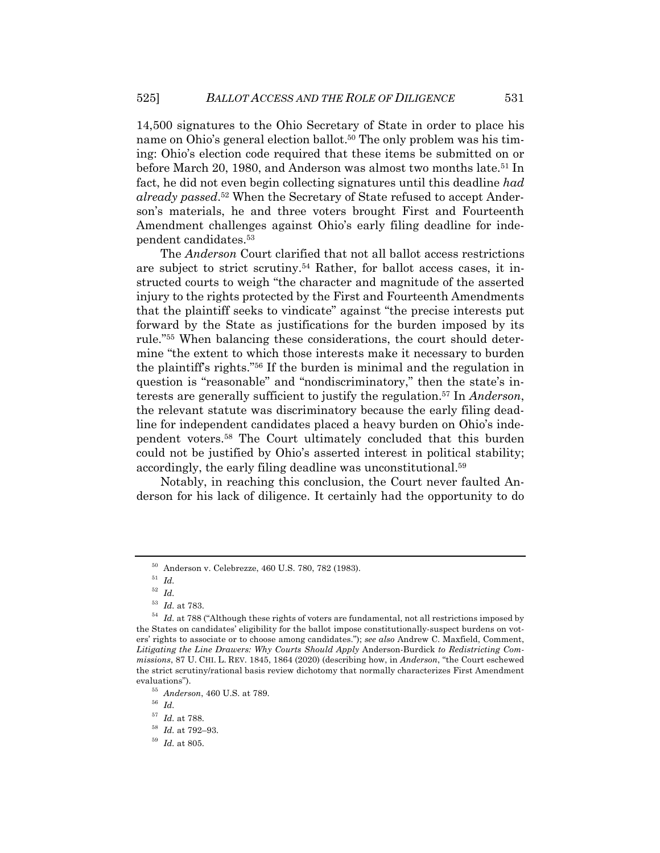14,500 signatures to the Ohio Secretary of State in order to place his name on Ohio's general election ballot.<sup>50</sup> The only problem was his timing: Ohio's election code required that these items be submitted on or before March 20, 1980, and Anderson was almost two months late.<sup>51</sup> In fact, he did not even begin collecting signatures until this deadline *had already passed*. <sup>52</sup> When the Secretary of State refused to accept Anderson's materials, he and three voters brought First and Fourteenth Amendment challenges against Ohio's early filing deadline for independent candidates.53

The *Anderson* Court clarified that not all ballot access restrictions are subject to strict scrutiny.54 Rather, for ballot access cases, it instructed courts to weigh "the character and magnitude of the asserted injury to the rights protected by the First and Fourteenth Amendments that the plaintiff seeks to vindicate" against "the precise interests put forward by the State as justifications for the burden imposed by its rule."55 When balancing these considerations, the court should determine "the extent to which those interests make it necessary to burden the plaintiff's rights."56 If the burden is minimal and the regulation in question is "reasonable" and "nondiscriminatory," then the state's interests are generally sufficient to justify the regulation.57 In *Anderson*, the relevant statute was discriminatory because the early filing deadline for independent candidates placed a heavy burden on Ohio's independent voters.58 The Court ultimately concluded that this burden could not be justified by Ohio's asserted interest in political stability; accordingly, the early filing deadline was unconstitutional.59

Notably, in reaching this conclusion, the Court never faulted Anderson for his lack of diligence. It certainly had the opportunity to do

<sup>50</sup> Anderson v. Celebrezze, 460 U.S. 780, 782 (1983).

<sup>51</sup> *Id.*

<sup>52</sup> *Id.*

<sup>53</sup> *Id.* at 783.

<sup>&</sup>lt;sup>54</sup> *Id.* at 788 ("Although these rights of voters are fundamental, not all restrictions imposed by the States on candidates' eligibility for the ballot impose constitutionally-suspect burdens on voters' rights to associate or to choose among candidates."); *see also* Andrew C. Maxfield, Comment, *Litigating the Line Drawers: Why Courts Should Apply* Anderson*-*Burdick *to Redistricting Commissions*, 87 U. CHI. L. REV. 1845, 1864 (2020) (describing how, in *Anderson*, "the Court eschewed the strict scrutiny/rational basis review dichotomy that normally characterizes First Amendment evaluations").

<sup>55</sup> *Anderson*, 460 U.S. at 789.

<sup>56</sup> *Id.*

 $1/37$  *Id.* at 788.

<sup>58</sup> *Id.* at 792–93.

<sup>59</sup> *Id.* at 805.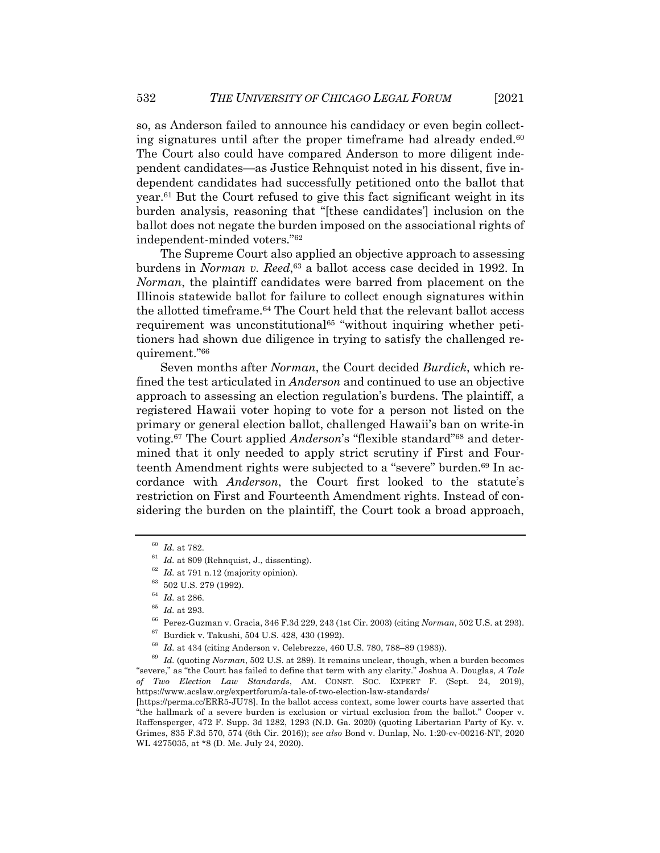so, as Anderson failed to announce his candidacy or even begin collecting signatures until after the proper time frame had already ended. $60$ The Court also could have compared Anderson to more diligent independent candidates—as Justice Rehnquist noted in his dissent, five independent candidates had successfully petitioned onto the ballot that year.61 But the Court refused to give this fact significant weight in its burden analysis, reasoning that "[these candidates'] inclusion on the ballot does not negate the burden imposed on the associational rights of independent-minded voters."62

The Supreme Court also applied an objective approach to assessing burdens in *Norman v. Reed*, <sup>63</sup> a ballot access case decided in 1992. In *Norman*, the plaintiff candidates were barred from placement on the Illinois statewide ballot for failure to collect enough signatures within the allotted timeframe.64 The Court held that the relevant ballot access requirement was unconstitutional<sup>65</sup> "without inquiring whether petitioners had shown due diligence in trying to satisfy the challenged requirement."66

Seven months after *Norman*, the Court decided *Burdick*, which refined the test articulated in *Anderson* and continued to use an objective approach to assessing an election regulation's burdens. The plaintiff, a registered Hawaii voter hoping to vote for a person not listed on the primary or general election ballot, challenged Hawaii's ban on write-in voting.67 The Court applied *Anderson*'s "flexible standard"68 and determined that it only needed to apply strict scrutiny if First and Fourteenth Amendment rights were subjected to a "severe" burden.<sup>69</sup> In accordance with *Anderson*, the Court first looked to the statute's restriction on First and Fourteenth Amendment rights. Instead of considering the burden on the plaintiff, the Court took a broad approach,

<sup>60</sup> *Id.* at 782.

 $61$  *Id.* at 809 (Rehnquist, J., dissenting).

<sup>62</sup> *Id.* at 791 n.12 (majority opinion).

<sup>63</sup> 502 U.S. 279 (1992).

<sup>64</sup> *Id.* at 286.

<sup>65</sup> *Id.* at 293.

<sup>66</sup> Perez-Guzman v. Gracia, 346 F.3d 229, 243 (1st Cir. 2003) (citing *Norman*, 502 U.S. at 293).

<sup>67</sup> Burdick v. Takushi, 504 U.S. 428, 430 (1992).

<sup>68</sup> *Id.* at 434 (citing Anderson v. Celebrezze, 460 U.S. 780, 788–89 (1983)).

<sup>69</sup> *Id.* (quoting *Norman*, 502 U.S. at 289). It remains unclear, though, when a burden becomes "severe," as "the Court has failed to define that term with any clarity." Joshua A. Douglas, *A Tale of Two Election Law Standards*, AM. CONST. SOC. EXPERT F. (Sept. 24, 2019), https://www.acslaw.org/expertforum/a-tale-of-two-election-law-standards/

<sup>[</sup>https://perma.cc/ERR5-JU78]. In the ballot access context, some lower courts have asserted that "the hallmark of a severe burden is exclusion or virtual exclusion from the ballot." Cooper v. Raffensperger, 472 F. Supp. 3d 1282, 1293 (N.D. Ga. 2020) (quoting Libertarian Party of Ky. v. Grimes, 835 F.3d 570, 574 (6th Cir. 2016)); *see also* Bond v. Dunlap, No. 1:20-cv-00216-NT, 2020 WL 4275035, at \*8 (D. Me. July 24, 2020).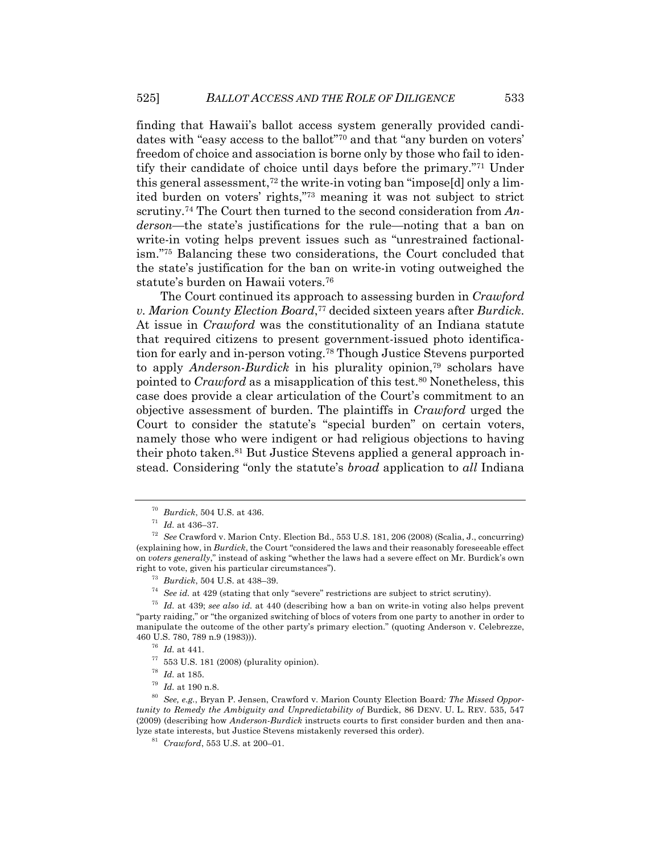finding that Hawaii's ballot access system generally provided candidates with "easy access to the ballot"70 and that "any burden on voters' freedom of choice and association is borne only by those who fail to identify their candidate of choice until days before the primary."71 Under this general assessment,<sup>72</sup> the write-in voting ban "impose[d] only a limited burden on voters' rights,"73 meaning it was not subject to strict scrutiny.74 The Court then turned to the second consideration from *Anderson*—the state's justifications for the rule—noting that a ban on write-in voting helps prevent issues such as "unrestrained factionalism."75 Balancing these two considerations, the Court concluded that the state's justification for the ban on write-in voting outweighed the statute's burden on Hawaii voters.76

The Court continued its approach to assessing burden in *Crawford v. Marion County Election Board*, <sup>77</sup> decided sixteen years after *Burdick*. At issue in *Crawford* was the constitutionality of an Indiana statute that required citizens to present government-issued photo identification for early and in-person voting.78 Though Justice Stevens purported to apply *Anderson*-*Burdick* in his plurality opinion,79 scholars have pointed to *Crawford* as a misapplication of this test.<sup>80</sup> Nonetheless, this case does provide a clear articulation of the Court's commitment to an objective assessment of burden. The plaintiffs in *Crawford* urged the Court to consider the statute's "special burden" on certain voters, namely those who were indigent or had religious objections to having their photo taken.81 But Justice Stevens applied a general approach instead. Considering "only the statute's *broad* application to *all* Indiana

<sup>70</sup> *Burdick*, 504 U.S. at 436.

<sup>71</sup> *Id.* at 436–37.

<sup>72</sup> *See* Crawford v. Marion Cnty. Election Bd., 553 U.S. 181, 206 (2008) (Scalia, J., concurring) (explaining how, in *Burdick*, the Court "considered the laws and their reasonably foreseeable effect on *voters generally*," instead of asking "whether the laws had a severe effect on Mr. Burdick's own right to vote, given his particular circumstances").

<sup>73</sup> *Burdick*, 504 U.S. at 438–39.

<sup>74</sup> *See id.* at 429 (stating that only "severe" restrictions are subject to strict scrutiny).

<sup>75</sup> *Id.* at 439; *see also id.* at 440 (describing how a ban on write-in voting also helps prevent "party raiding," or "the organized switching of blocs of voters from one party to another in order to manipulate the outcome of the other party's primary election." (quoting Anderson v. Celebrezze, 460 U.S. 780, 789 n.9 (1983))).

<sup>76</sup> *Id.* at 441.

 $77$  553 U.S. 181 (2008) (plurality opinion).

<sup>78</sup> *Id.* at 185.

<sup>79</sup> *Id.* at 190 n.8.

<sup>80</sup> *See, e.g.*, Bryan P. Jensen, Crawford v. Marion County Election Board*: The Missed Opportunity to Remedy the Ambiguity and Unpredictability of Burdick, 86 DENV. U. L. REV. 535, 547* (2009) (describing how *Anderson*-*Burdick* instructs courts to first consider burden and then analyze state interests, but Justice Stevens mistakenly reversed this order).

<sup>81</sup> *Crawford*, 553 U.S. at 200–01.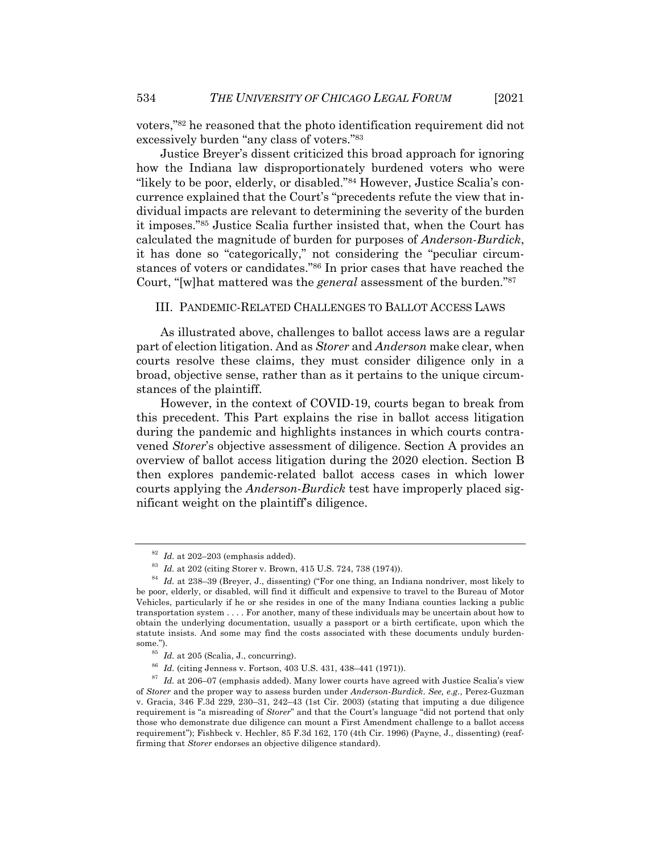voters,"82 he reasoned that the photo identification requirement did not excessively burden "any class of voters."83

Justice Breyer's dissent criticized this broad approach for ignoring how the Indiana law disproportionately burdened voters who were "likely to be poor, elderly, or disabled."84 However, Justice Scalia's concurrence explained that the Court's "precedents refute the view that individual impacts are relevant to determining the severity of the burden it imposes."85 Justice Scalia further insisted that, when the Court has calculated the magnitude of burden for purposes of *Anderson*-*Burdick*, it has done so "categorically," not considering the "peculiar circumstances of voters or candidates."86 In prior cases that have reached the Court, "[w]hat mattered was the *general* assessment of the burden."87

#### III. PANDEMIC-RELATED CHALLENGES TO BALLOT ACCESS LAWS

As illustrated above, challenges to ballot access laws are a regular part of election litigation. And as *Storer* and *Anderson* make clear, when courts resolve these claims, they must consider diligence only in a broad, objective sense, rather than as it pertains to the unique circumstances of the plaintiff.

However, in the context of COVID-19, courts began to break from this precedent. This Part explains the rise in ballot access litigation during the pandemic and highlights instances in which courts contravened *Storer*'s objective assessment of diligence. Section A provides an overview of ballot access litigation during the 2020 election. Section B then explores pandemic-related ballot access cases in which lower courts applying the *Anderson*-*Burdick* test have improperly placed significant weight on the plaintiff's diligence.

 $82$  *Id.* at 202–203 (emphasis added).

<sup>83</sup> *Id.* at 202 (citing Storer v. Brown, 415 U.S. 724, 738 (1974)).

<sup>84</sup> *Id.* at 238–39 (Breyer, J., dissenting) ("For one thing, an Indiana nondriver, most likely to be poor, elderly, or disabled, will find it difficult and expensive to travel to the Bureau of Motor Vehicles, particularly if he or she resides in one of the many Indiana counties lacking a public transportation system . . . . For another, many of these individuals may be uncertain about how to obtain the underlying documentation, usually a passport or a birth certificate, upon which the statute insists. And some may find the costs associated with these documents unduly burdensome $"$ 

<sup>85</sup> *Id.* at 205 (Scalia, J., concurring).

<sup>86</sup> *Id.* (citing Jenness v. Fortson, 403 U.S. 431, 438–441 (1971)).

 $87$  *Id.* at 206–07 (emphasis added). Many lower courts have agreed with Justice Scalia's view of *Storer* and the proper way to assess burden under *Anderson*-*Burdick*. *See, e.g.*, Perez-Guzman v. Gracia, 346 F.3d 229, 230–31, 242–43 (1st Cir. 2003) (stating that imputing a due diligence requirement is "a misreading of *Storer*" and that the Court's language "did not portend that only those who demonstrate due diligence can mount a First Amendment challenge to a ballot access requirement"); Fishbeck v. Hechler, 85 F.3d 162, 170 (4th Cir. 1996) (Payne, J., dissenting) (reaffirming that *Storer* endorses an objective diligence standard).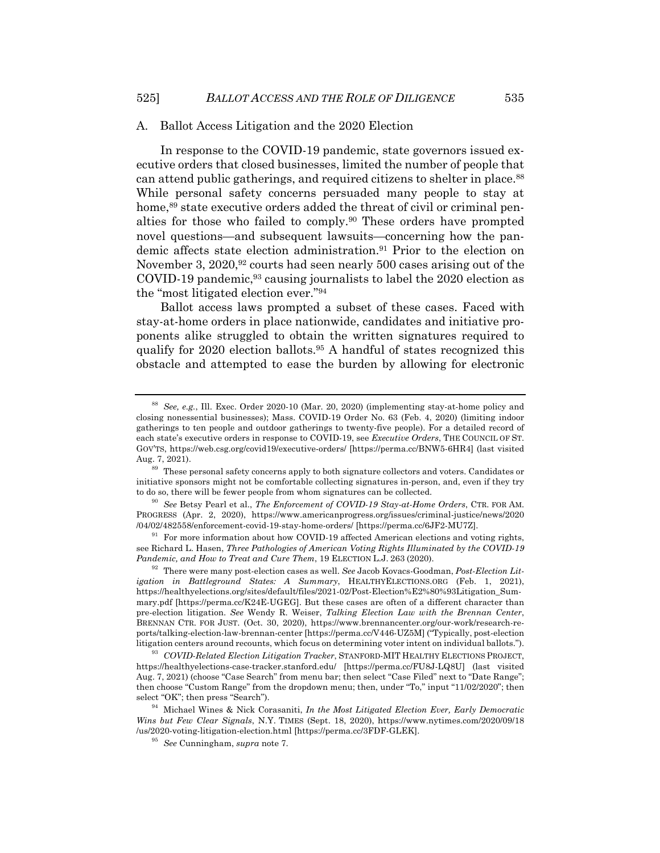#### A. Ballot Access Litigation and the 2020 Election

In response to the COVID-19 pandemic, state governors issued executive orders that closed businesses, limited the number of people that can attend public gatherings, and required citizens to shelter in place.<sup>88</sup> While personal safety concerns persuaded many people to stay at home,<sup>89</sup> state executive orders added the threat of civil or criminal penalties for those who failed to comply.90 These orders have prompted novel questions—and subsequent lawsuits—concerning how the pandemic affects state election administration.<sup>91</sup> Prior to the election on November 3, 2020,<sup>92</sup> courts had seen nearly 500 cases arising out of the COVID-19 pandemic,93 causing journalists to label the 2020 election as the "most litigated election ever."94

Ballot access laws prompted a subset of these cases. Faced with stay-at-home orders in place nationwide, candidates and initiative proponents alike struggled to obtain the written signatures required to qualify for 2020 election ballots.95 A handful of states recognized this obstacle and attempted to ease the burden by allowing for electronic

 $91$  For more information about how COVID-19 affected American elections and voting rights, see Richard L. Hasen, *Three Pathologies of American Voting Rights Illuminated by the COVID-19 Pandemic, and How to Treat and Cure Them*, 19 ELECTION L.J. 263 (2020).

<sup>88</sup> *See, e.g.*, Ill. Exec. Order 2020-10 (Mar. 20, 2020) (implementing stay-at-home policy and closing nonessential businesses); Mass. COVID-19 Order No. 63 (Feb. 4, 2020) (limiting indoor gatherings to ten people and outdoor gatherings to twenty-five people). For a detailed record of each state's executive orders in response to COVID-19, see *Executive Orders*, THE COUNCIL OF ST. GOV'TS, https://web.csg.org/covid19/executive-orders/ [https://perma.cc/BNW5-6HR4] (last visited Aug. 7, 2021).

<sup>89</sup> These personal safety concerns apply to both signature collectors and voters. Candidates or initiative sponsors might not be comfortable collecting signatures in-person, and, even if they try to do so, there will be fewer people from whom signatures can be collected.

<sup>90</sup> *See* Betsy Pearl et al., *The Enforcement of COVID-19 Stay-at-Home Orders*, CTR. FOR AM. PROGRESS (Apr. 2, 2020), https://www.americanprogress.org/issues/criminal-justice/news/2020 /04/02/482558/enforcement-covid-19-stay-home-orders/ [https://perma.cc/6JF2-MU7Z].

<sup>92</sup> There were many post-election cases as well. *See* Jacob Kovacs-Goodman, *Post-Election Litigation in Battleground States: A Summary*, HEALTHYELECTIONS.ORG (Feb. 1, 2021), https://healthyelections.org/sites/default/files/2021-02/Post-Election%E2%80%93Litigation\_Summary.pdf [https://perma.cc/K24E-UGEG]. But these cases are often of a different character than pre-election litigation. *See* Wendy R. Weiser, *Talking Election Law with the Brennan Center*, BRENNAN CTR. FOR JUST. (Oct. 30, 2020), https://www.brennancenter.org/our-work/research-reports/talking-election-law-brennan-center [https://perma.cc/V446-UZ5M] ("Typically, post-election litigation centers around recounts, which focus on determining voter intent on individual ballots.").

<sup>93</sup> *COVID-Related Election Litigation Tracker*, STANFORD-MIT HEALTHY ELECTIONS PROJECT, https://healthyelections-case-tracker.stanford.edu/ [https://perma.cc/FU8J-LQ8U] (last visited Aug. 7, 2021) (choose "Case Search" from menu bar; then select "Case Filed" next to "Date Range"; then choose "Custom Range" from the dropdown menu; then, under "To," input "11/02/2020"; then select "OK"; then press "Search").

<sup>94</sup> Michael Wines & Nick Corasaniti, *In the Most Litigated Election Ever, Early Democratic Wins but Few Clear Signals*, N.Y. TIMES (Sept. 18, 2020), https://www.nytimes.com/2020/09/18 /us/2020-voting-litigation-election.html [https://perma.cc/3FDF-GLEK].

<sup>95</sup> *See* Cunningham, *supra* note 7.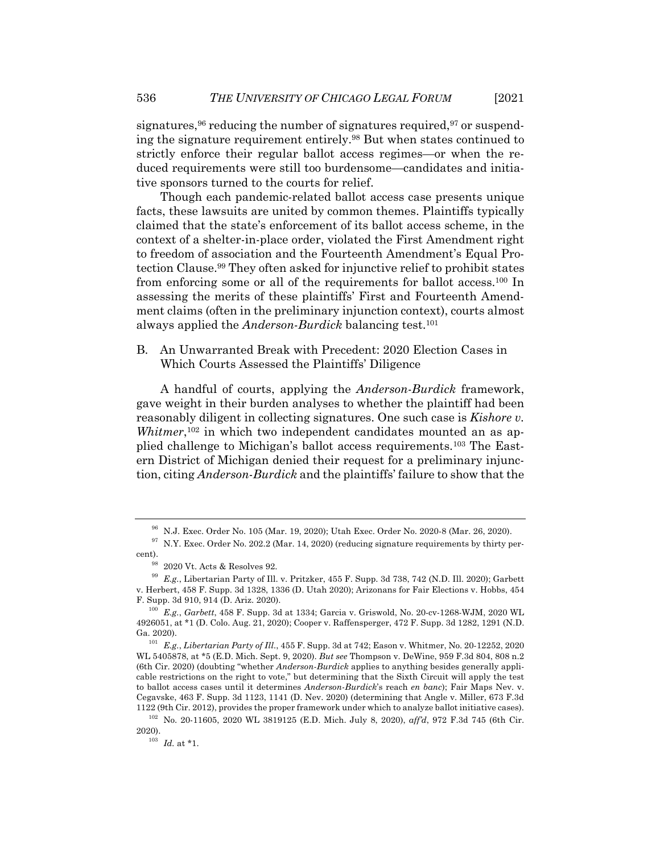signatures,  $96$  reducing the number of signatures required,  $97$  or suspending the signature requirement entirely.98 But when states continued to strictly enforce their regular ballot access regimes—or when the reduced requirements were still too burdensome—candidates and initiative sponsors turned to the courts for relief.

Though each pandemic-related ballot access case presents unique facts, these lawsuits are united by common themes. Plaintiffs typically claimed that the state's enforcement of its ballot access scheme, in the context of a shelter-in-place order, violated the First Amendment right to freedom of association and the Fourteenth Amendment's Equal Protection Clause.99 They often asked for injunctive relief to prohibit states from enforcing some or all of the requirements for ballot access.100 In assessing the merits of these plaintiffs' First and Fourteenth Amendment claims (often in the preliminary injunction context), courts almost always applied the *Anderson*-*Burdick* balancing test.101

B. An Unwarranted Break with Precedent: 2020 Election Cases in Which Courts Assessed the Plaintiffs' Diligence

A handful of courts, applying the *Anderson*-*Burdick* framework, gave weight in their burden analyses to whether the plaintiff had been reasonably diligent in collecting signatures. One such case is *Kishore v. Whitmer*,<sup>102</sup> in which two independent candidates mounted an as applied challenge to Michigan's ballot access requirements.103 The Eastern District of Michigan denied their request for a preliminary injunction, citing *Anderson*-*Burdick* and the plaintiffs' failure to show that the

<sup>96</sup> N.J. Exec. Order No. 105 (Mar. 19, 2020); Utah Exec. Order No. 2020-8 (Mar. 26, 2020).

 $97$  N.Y. Exec. Order No. 202.2 (Mar. 14, 2020) (reducing signature requirements by thirty percent).

<sup>98</sup> 2020 Vt. Acts & Resolves 92.

<sup>99</sup> *E.g.*, Libertarian Party of Ill. v. Pritzker, 455 F. Supp. 3d 738, 742 (N.D. Ill. 2020); Garbett v. Herbert, 458 F. Supp. 3d 1328, 1336 (D. Utah 2020); Arizonans for Fair Elections v. Hobbs, 454 F. Supp. 3d 910, 914 (D. Ariz. 2020).

<sup>100</sup> *E.g.*, *Garbett*, 458 F. Supp. 3d at 1334; Garcia v. Griswold, No. 20-cv-1268-WJM, 2020 WL 4926051, at \*1 (D. Colo. Aug. 21, 2020); Cooper v. Raffensperger, 472 F. Supp. 3d 1282, 1291 (N.D. Ga. 2020).

<sup>101</sup> *E.g.*, *Libertarian Party of Ill.*, 455 F. Supp. 3d at 742; Eason v. Whitmer, No. 20-12252, 2020 WL 5405878, at \*5 (E.D. Mich. Sept. 9, 2020). *But see* Thompson v. DeWine, 959 F.3d 804, 808 n.2 (6th Cir. 2020) (doubting "whether *Anderson*-*Burdick* applies to anything besides generally applicable restrictions on the right to vote," but determining that the Sixth Circuit will apply the test to ballot access cases until it determines *Anderson*-*Burdick*'s reach *en banc*); Fair Maps Nev. v. Cegavske, 463 F. Supp. 3d 1123, 1141 (D. Nev. 2020) (determining that Angle v. Miller, 673 F.3d 1122 (9th Cir. 2012), provides the proper framework under which to analyze ballot initiative cases).

<sup>102</sup> No. 20-11605, 2020 WL 3819125 (E.D. Mich. July 8, 2020), *aff'd*, 972 F.3d 745 (6th Cir. 2020).

 $\frac{103}{103}$  *Id.* at \*1.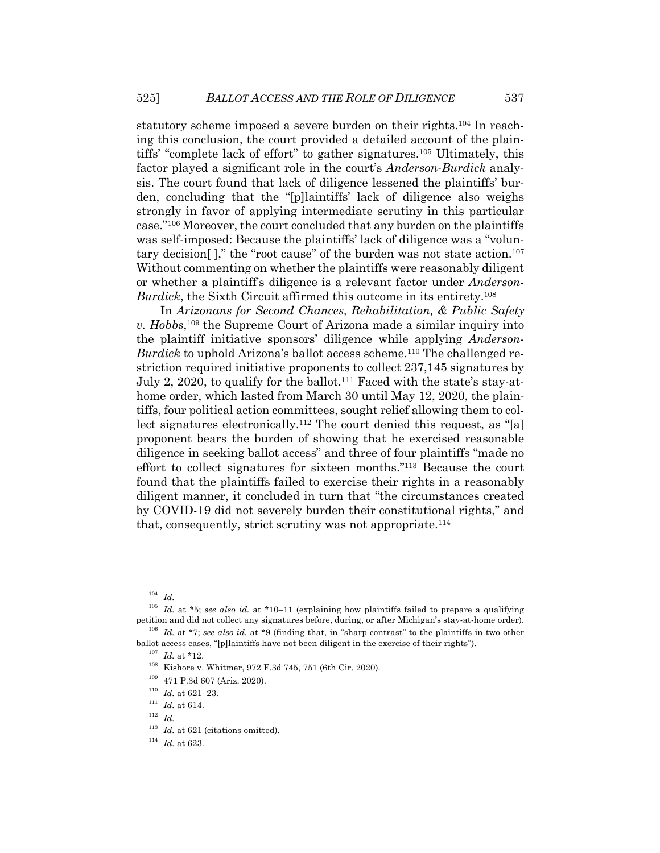statutory scheme imposed a severe burden on their rights.104 In reaching this conclusion, the court provided a detailed account of the plaintiffs' "complete lack of effort" to gather signatures.105 Ultimately, this factor played a significant role in the court's *Anderson*-*Burdick* analysis. The court found that lack of diligence lessened the plaintiffs' burden, concluding that the "[p]laintiffs' lack of diligence also weighs strongly in favor of applying intermediate scrutiny in this particular case."106 Moreover, the court concluded that any burden on the plaintiffs was self-imposed: Because the plaintiffs' lack of diligence was a "voluntary decision[ ]," the "root cause" of the burden was not state action.107 Without commenting on whether the plaintiffs were reasonably diligent or whether a plaintiff's diligence is a relevant factor under *Anderson*-*Burdick*, the Sixth Circuit affirmed this outcome in its entirety.108

In *Arizonans for Second Chances, Rehabilitation, & Public Safety v. Hobbs*,109 the Supreme Court of Arizona made a similar inquiry into the plaintiff initiative sponsors' diligence while applying *Anderson*-*Burdick* to uphold Arizona's ballot access scheme.<sup>110</sup> The challenged restriction required initiative proponents to collect 237,145 signatures by July 2, 2020, to qualify for the ballot.111 Faced with the state's stay-athome order, which lasted from March 30 until May 12, 2020, the plaintiffs, four political action committees, sought relief allowing them to collect signatures electronically.<sup>112</sup> The court denied this request, as "[a] proponent bears the burden of showing that he exercised reasonable diligence in seeking ballot access" and three of four plaintiffs "made no effort to collect signatures for sixteen months."113 Because the court found that the plaintiffs failed to exercise their rights in a reasonably diligent manner, it concluded in turn that "the circumstances created by COVID-19 did not severely burden their constitutional rights," and that, consequently, strict scrutiny was not appropriate.114

<sup>104</sup> *Id.*

<sup>105</sup> *Id.* at \*5; *see also id.* at \*10–11 (explaining how plaintiffs failed to prepare a qualifying petition and did not collect any signatures before, during, or after Michigan's stay-at-home order).

<sup>106</sup> *Id.* at \*7; *see also id.* at \*9 (finding that, in "sharp contrast" to the plaintiffs in two other ballot access cases, "[p]laintiffs have not been diligent in the exercise of their rights").

<sup>107</sup> *Id.* at \*12.

<sup>108</sup> Kishore v. Whitmer, 972 F.3d 745, 751 (6th Cir. 2020).

<sup>109</sup> 471 P.3d 607 (Ariz. 2020).

 $^{110}\,$   $Id.\;$  at 621–23.

 $^{111}\,$   $Id.\;$  at 614.

<sup>112</sup> *Id.*

<sup>&</sup>lt;sup>113</sup> *Id.* at 621 (citations omitted).

<sup>114</sup> *Id.* at 623.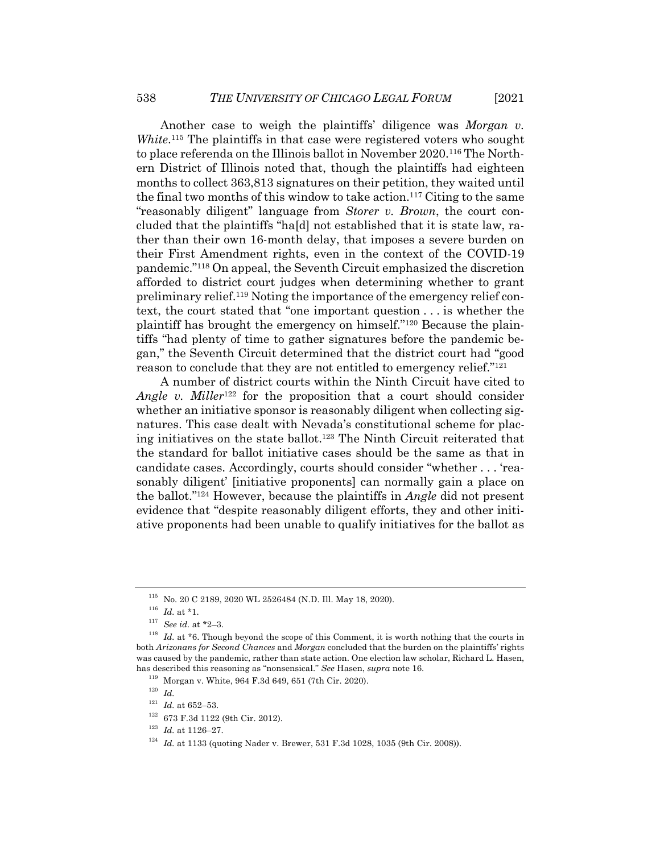Another case to weigh the plaintiffs' diligence was *Morgan v. White*.<sup>115</sup> The plaintiffs in that case were registered voters who sought to place referenda on the Illinois ballot in November 2020.116 The Northern District of Illinois noted that, though the plaintiffs had eighteen months to collect 363,813 signatures on their petition, they waited until the final two months of this window to take action.117 Citing to the same "reasonably diligent" language from *Storer v. Brown*, the court concluded that the plaintiffs "ha[d] not established that it is state law, rather than their own 16-month delay, that imposes a severe burden on their First Amendment rights, even in the context of the COVID-19 pandemic."118 On appeal, the Seventh Circuit emphasized the discretion afforded to district court judges when determining whether to grant preliminary relief.119 Noting the importance of the emergency relief context, the court stated that "one important question . . . is whether the plaintiff has brought the emergency on himself."120 Because the plaintiffs "had plenty of time to gather signatures before the pandemic began," the Seventh Circuit determined that the district court had "good reason to conclude that they are not entitled to emergency relief."121

A number of district courts within the Ninth Circuit have cited to *Angle v. Miller*<sup>122</sup> for the proposition that a court should consider whether an initiative sponsor is reasonably diligent when collecting signatures. This case dealt with Nevada's constitutional scheme for placing initiatives on the state ballot.123 The Ninth Circuit reiterated that the standard for ballot initiative cases should be the same as that in candidate cases. Accordingly, courts should consider "whether . . . 'reasonably diligent' [initiative proponents] can normally gain a place on the ballot."124 However, because the plaintiffs in *Angle* did not present evidence that "despite reasonably diligent efforts, they and other initiative proponents had been unable to qualify initiatives for the ballot as

<sup>115</sup> No. 20 C 2189, 2020 WL 2526484 (N.D. Ill. May 18, 2020).

 $^{116}$   $\,$   $Id.\;$  at \*1.

<sup>117</sup> *See id.* at \*2–3.

<sup>&</sup>lt;sup>118</sup> *Id.* at \*6. Though beyond the scope of this Comment, it is worth nothing that the courts in both *Arizonans for Second Chances* and *Morgan* concluded that the burden on the plaintiffs' rights was caused by the pandemic, rather than state action. One election law scholar, Richard L. Hasen, has described this reasoning as "nonsensical." *See* Hasen, *supra* note 16.

<sup>119</sup> Morgan v. White, 964 F.3d 649, 651 (7th Cir. 2020).

<sup>120</sup> *Id.*

 $^{121}$   $\emph{Id.}$  at 652–53.

<sup>122</sup> 673 F.3d 1122 (9th Cir. 2012).

<sup>123</sup> *Id.* at 1126–27.

<sup>&</sup>lt;sup>124</sup> *Id.* at 1133 (quoting Nader v. Brewer, 531 F.3d 1028, 1035 (9th Cir. 2008)).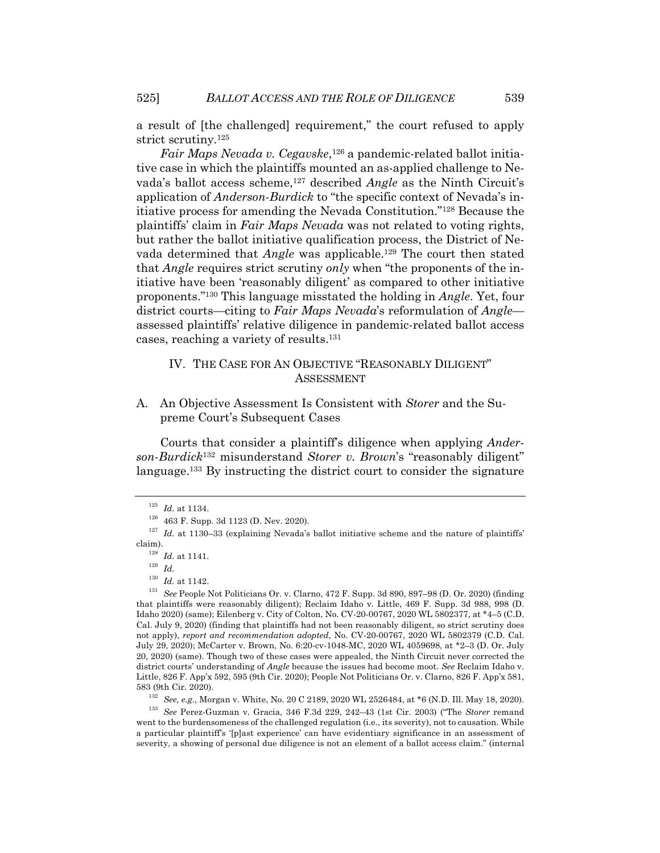a result of [the challenged] requirement," the court refused to apply strict scrutiny.125

*Fair Maps Nevada v. Cegavske*,126 a pandemic-related ballot initiative case in which the plaintiffs mounted an as-applied challenge to Nevada's ballot access scheme,127 described *Angle* as the Ninth Circuit's application of *Anderson*-*Burdick* to "the specific context of Nevada's initiative process for amending the Nevada Constitution."128 Because the plaintiffs' claim in *Fair Maps Nevada* was not related to voting rights, but rather the ballot initiative qualification process, the District of Nevada determined that *Angle* was applicable.<sup>129</sup> The court then stated that *Angle* requires strict scrutiny *only* when "the proponents of the initiative have been 'reasonably diligent' as compared to other initiative proponents."130 This language misstated the holding in *Angle*. Yet, four district courts—citing to *Fair Maps Nevada*'s reformulation of *Angle* assessed plaintiffs' relative diligence in pandemic-related ballot access cases, reaching a variety of results.131

## IV. THE CASE FOR AN OBJECTIVE "REASONABLY DILIGENT" ASSESSMENT

A. An Objective Assessment Is Consistent with *Storer* and the Supreme Court's Subsequent Cases

Courts that consider a plaintiff's diligence when applying *Anderson*-*Burdick*<sup>132</sup> misunderstand *Storer v. Brown*'s "reasonably diligent" language.133 By instructing the district court to consider the signature

<sup>132</sup> *See, e.g.*, Morgan v. White, No. 20 C 2189, 2020 WL 2526484, at \*6 (N.D. Ill. May 18, 2020).

<sup>133</sup> *See* Perez-Guzman v. Gracia, 346 F.3d 229, 242–43 (1st Cir. 2003) ("The *Storer* remand went to the burdensomeness of the challenged regulation (i.e., its severity), not to causation. While a particular plaintiff's '[p]ast experience' can have evidentiary significance in an assessment of severity, a showing of personal due diligence is not an element of a ballot access claim." (internal

 $^{125}\,$   $Id.\,$  at 1134.

<sup>126</sup> 463 F. Supp. 3d 1123 (D. Nev. 2020).

<sup>&</sup>lt;sup>127</sup> *Id.* at 1130–33 (explaining Nevada's ballot initiative scheme and the nature of plaintiffs' claim).

<sup>128</sup> *Id.* at 1141.

<sup>129</sup> *Id.*

 $\frac{130}{131}$  *Id.* at 1142.

<sup>131</sup> *See* People Not Politicians Or. v. Clarno, 472 F. Supp. 3d 890, 897–98 (D. Or. 2020) (finding that plaintiffs were reasonably diligent); Reclaim Idaho v. Little, 469 F. Supp. 3d 988, 998 (D. Idaho 2020) (same); Eilenberg v. City of Colton, No. CV-20-00767, 2020 WL 5802377, at \*4–5 (C.D. Cal. July 9, 2020) (finding that plaintiffs had not been reasonably diligent, so strict scrutiny does not apply), *report and recommendation adopted*, No. CV-20-00767, 2020 WL 5802379 (C.D. Cal. July 29, 2020); McCarter v. Brown, No. 6:20-cv-1048-MC, 2020 WL 4059698, at \*2–3 (D. Or. July 20, 2020) (same). Though two of these cases were appealed, the Ninth Circuit never corrected the district courts' understanding of *Angle* because the issues had become moot. *See* Reclaim Idaho v. Little, 826 F. App'x 592, 595 (9th Cir. 2020); People Not Politicians Or. v. Clarno, 826 F. App'x 581, 583 (9th Cir. 2020).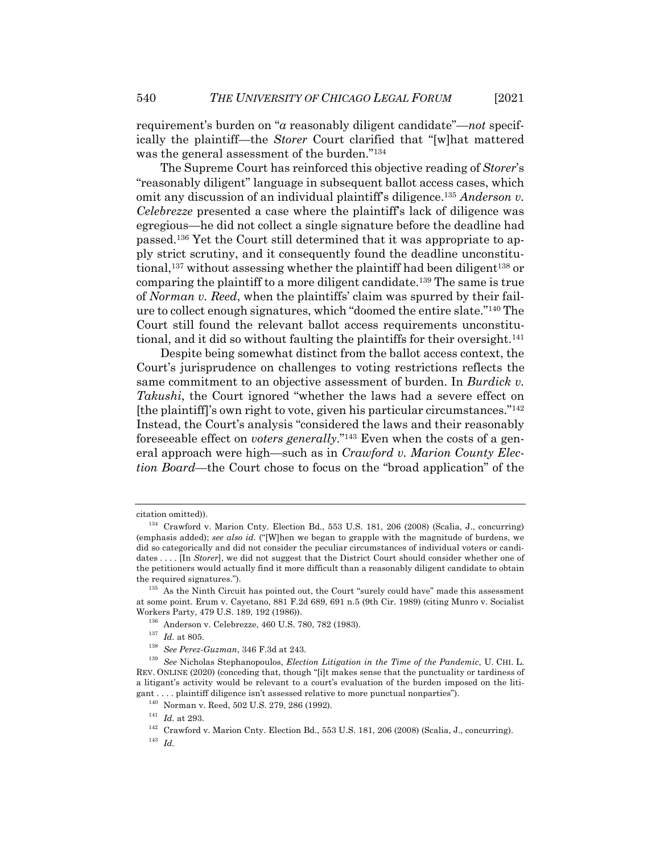requirement's burden on "*a* reasonably diligent candidate"—*not* specifically the plaintiff—the *Storer* Court clarified that "[w]hat mattered was the general assessment of the burden."134

The Supreme Court has reinforced this objective reading of *Storer*'s "reasonably diligent" language in subsequent ballot access cases, which omit any discussion of an individual plaintiff's diligence.135 *Anderson v. Celebrezze* presented a case where the plaintiff's lack of diligence was egregious—he did not collect a single signature before the deadline had passed.136 Yet the Court still determined that it was appropriate to apply strict scrutiny, and it consequently found the deadline unconstitutional,<sup>137</sup> without assessing whether the plaintiff had been diligent<sup>138</sup> or comparing the plaintiff to a more diligent candidate.139 The same is true of *Norman v. Reed*, when the plaintiffs' claim was spurred by their failure to collect enough signatures, which "doomed the entire slate."140 The Court still found the relevant ballot access requirements unconstitutional, and it did so without faulting the plaintiffs for their oversight.141

Despite being somewhat distinct from the ballot access context, the Court's jurisprudence on challenges to voting restrictions reflects the same commitment to an objective assessment of burden. In *Burdick v. Takushi*, the Court ignored "whether the laws had a severe effect on [the plaintiff]'s own right to vote, given his particular circumstances."142 Instead, the Court's analysis "considered the laws and their reasonably foreseeable effect on *voters generally*."143 Even when the costs of a general approach were high—such as in *Crawford v. Marion County Election Board*—the Court chose to focus on the "broad application" of the

citation omitted)).

<sup>134</sup> Crawford v. Marion Cnty. Election Bd., 553 U.S. 181, 206 (2008) (Scalia, J., concurring) (emphasis added); *see also id.* ("[W]hen we began to grapple with the magnitude of burdens, we did so categorically and did not consider the peculiar circumstances of individual voters or candidates . . . . [In *Storer*], we did not suggest that the District Court should consider whether one of the petitioners would actually find it more difficult than a reasonably diligent candidate to obtain the required signatures.").

 $135$  As the Ninth Circuit has pointed out, the Court "surely could have" made this assessment at some point. Erum v. Cayetano, 881 F.2d 689, 691 n.5 (9th Cir. 1989) (citing Munro v. Socialist Workers Party, 479 U.S. 189, 192 (1986)).

<sup>136</sup> Anderson v. Celebrezze, 460 U.S. 780, 782 (1983).

<sup>137</sup> *Id.* at 805.

<sup>138</sup> *See Perez-Guzman*, 346 F.3d at 243.

<sup>139</sup> *See* Nicholas Stephanopoulos, *Election Litigation in the Time of the Pandemic*, U. CHI. L. REV. ONLINE (2020) (conceding that, though "[i]t makes sense that the punctuality or tardiness of a litigant's activity would be relevant to a court's evaluation of the burden imposed on the litigant . . . . plaintiff diligence isn't assessed relative to more punctual nonparties").

<sup>140</sup> Norman v. Reed, 502 U.S. 279, 286 (1992).

<sup>141</sup> *Id.* at 293.

 $^{142}\,$  Crawford v. Marion Cnty. Election Bd., 553 U.S. 181, 206 (2008) (Scalia, J., concurring).

<sup>143</sup> *Id.*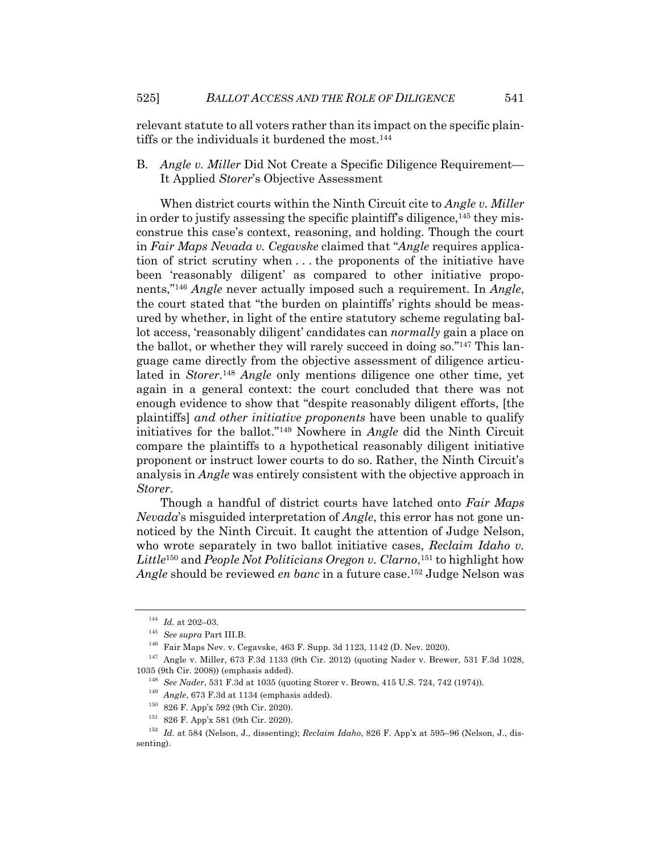relevant statute to all voters rather than its impact on the specific plaintiffs or the individuals it burdened the most.<sup>144</sup>

B. *Angle v. Miller* Did Not Create a Specific Diligence Requirement— It Applied *Storer*'s Objective Assessment

When district courts within the Ninth Circuit cite to *Angle v. Miller* in order to justify assessing the specific plaintiff's diligence,<sup>145</sup> they misconstrue this case's context, reasoning, and holding. Though the court in *Fair Maps Nevada v. Cegavske* claimed that "*Angle* requires application of strict scrutiny when . . . the proponents of the initiative have been 'reasonably diligent' as compared to other initiative proponents,"146 *Angle* never actually imposed such a requirement. In *Angle*, the court stated that "the burden on plaintiffs' rights should be measured by whether, in light of the entire statutory scheme regulating ballot access, 'reasonably diligent' candidates can *normally* gain a place on the ballot, or whether they will rarely succeed in doing so."147 This language came directly from the objective assessment of diligence articulated in *Storer*. <sup>148</sup> *Angle* only mentions diligence one other time, yet again in a general context: the court concluded that there was not enough evidence to show that "despite reasonably diligent efforts, [the plaintiffs] *and other initiative proponents* have been unable to qualify initiatives for the ballot."149 Nowhere in *Angle* did the Ninth Circuit compare the plaintiffs to a hypothetical reasonably diligent initiative proponent or instruct lower courts to do so. Rather, the Ninth Circuit's analysis in *Angle* was entirely consistent with the objective approach in *Storer*.

Though a handful of district courts have latched onto *Fair Maps Nevada*'s misguided interpretation of *Angle*, this error has not gone unnoticed by the Ninth Circuit. It caught the attention of Judge Nelson, who wrote separately in two ballot initiative cases, *Reclaim Idaho v. Little*<sup>150</sup> and *People Not Politicians Oregon v. Clarno*, <sup>151</sup> to highlight how *Angle* should be reviewed *en banc* in a future case.152 Judge Nelson was

 $^{144}$   $\,$   $\!Id.\;$  at 202–03.

<sup>145</sup> *See supra* Part III.B.

<sup>146</sup> Fair Maps Nev. v. Cegavske, 463 F. Supp. 3d 1123, 1142 (D. Nev. 2020).

<sup>147</sup> Angle v. Miller, 673 F.3d 1133 (9th Cir. 2012) (quoting Nader v. Brewer, 531 F.3d 1028, 1035 (9th Cir. 2008)) (emphasis added).

<sup>148</sup> *See Nader*, 531 F.3d at 1035 (quoting Storer v. Brown, 415 U.S. 724, 742 (1974)).

<sup>149</sup> *Angle*, 673 F.3d at 1134 (emphasis added).

<sup>150</sup> 826 F. App'x 592 (9th Cir. 2020).

<sup>151</sup> 826 F. App'x 581 (9th Cir. 2020).

<sup>152</sup> *Id.* at 584 (Nelson, J., dissenting); *Reclaim Idaho*, 826 F. App'x at 595–96 (Nelson, J., dissenting).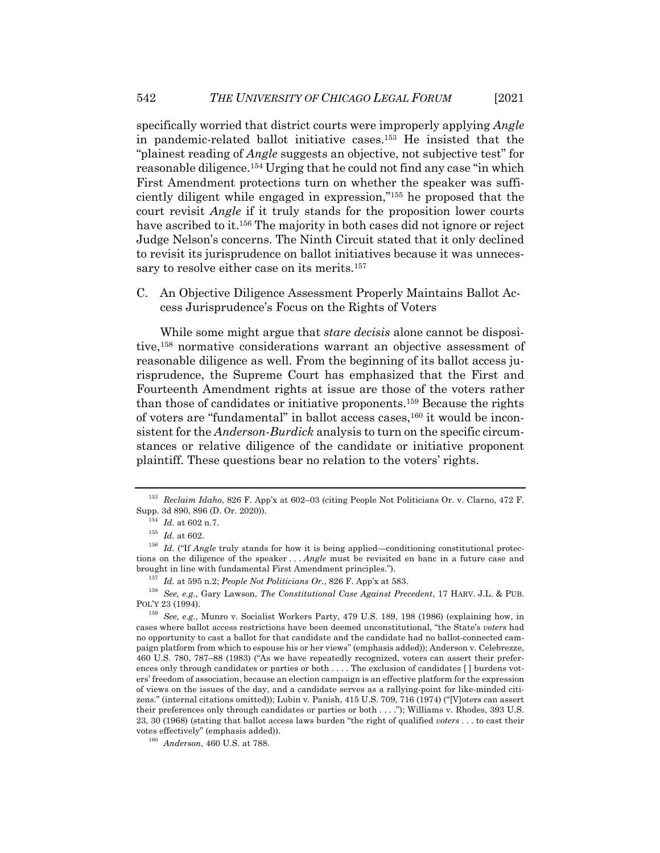specifically worried that district courts were improperly applying *Angle* in pandemic-related ballot initiative cases.153 He insisted that the "plainest reading of *Angle* suggests an objective, not subjective test" for reasonable diligence.154 Urging that he could not find any case "in which First Amendment protections turn on whether the speaker was sufficiently diligent while engaged in expression,"155 he proposed that the court revisit *Angle* if it truly stands for the proposition lower courts have ascribed to it.<sup>156</sup> The majority in both cases did not ignore or reject Judge Nelson's concerns. The Ninth Circuit stated that it only declined to revisit its jurisprudence on ballot initiatives because it was unnecessary to resolve either case on its merits.<sup>157</sup>

C. An Objective Diligence Assessment Properly Maintains Ballot Access Jurisprudence's Focus on the Rights of Voters

While some might argue that *stare decisis* alone cannot be dispositive,158 normative considerations warrant an objective assessment of reasonable diligence as well. From the beginning of its ballot access jurisprudence, the Supreme Court has emphasized that the First and Fourteenth Amendment rights at issue are those of the voters rather than those of candidates or initiative proponents.159 Because the rights of voters are "fundamental" in ballot access cases,160 it would be inconsistent for the *Anderson*-*Burdick* analysis to turn on the specific circumstances or relative diligence of the candidate or initiative proponent plaintiff. These questions bear no relation to the voters' rights.

<sup>153</sup> *Reclaim Idaho*, 826 F. App'x at 602–03 (citing People Not Politicians Or. v. Clarno, 472 F. Supp. 3d 890, 896 (D. Or. 2020)).

 $^{154}\,$   $Id.\,$  at 602 n.7.

 $155$  *Id.* at 602.

<sup>&</sup>lt;sup>156</sup> *Id.* ("If *Angle* truly stands for how it is being applied—conditioning constitutional protections on the diligence of the speaker . . . *Angle* must be revisited en banc in a future case and brought in line with fundamental First Amendment principles.").

<sup>157</sup> *Id.* at 595 n.2; *People Not Politicians Or.*, 826 F. App'x at 583.

<sup>158</sup> *See, e.g.*, Gary Lawson, *The Constitutional Case Against Precedent*, 17 HARV. J.L. & PUB. POL'Y 23 (1994).

<sup>159</sup> *See, e.g.*, Munro v. Socialist Workers Party, 479 U.S. 189, 198 (1986) (explaining how, in cases where ballot access restrictions have been deemed unconstitutional, "the State's *voters* had no opportunity to cast a ballot for that candidate and the candidate had no ballot-connected campaign platform from which to espouse his or her views" (emphasis added)); Anderson v. Celebrezze, 460 U.S. 780, 787–88 (1983) ("As we have repeatedly recognized, voters can assert their preferences only through candidates or parties or both . . . . The exclusion of candidates [ ] burdens voters' freedom of association, because an election campaign is an effective platform for the expression of views on the issues of the day, and a candidate serves as a rallying-point for like-minded citizens." (internal citations omitted)); Lubin v. Panish, 415 U.S. 709, 716 (1974) ("[V]oters can assert their preferences only through candidates or parties or both . . . ."); Williams v. Rhodes, 393 U.S. 23, 30 (1968) (stating that ballot access laws burden "the right of qualified *voters* . . . to cast their votes effectively" (emphasis added)).

<sup>160</sup> *Anderson*, 460 U.S. at 788.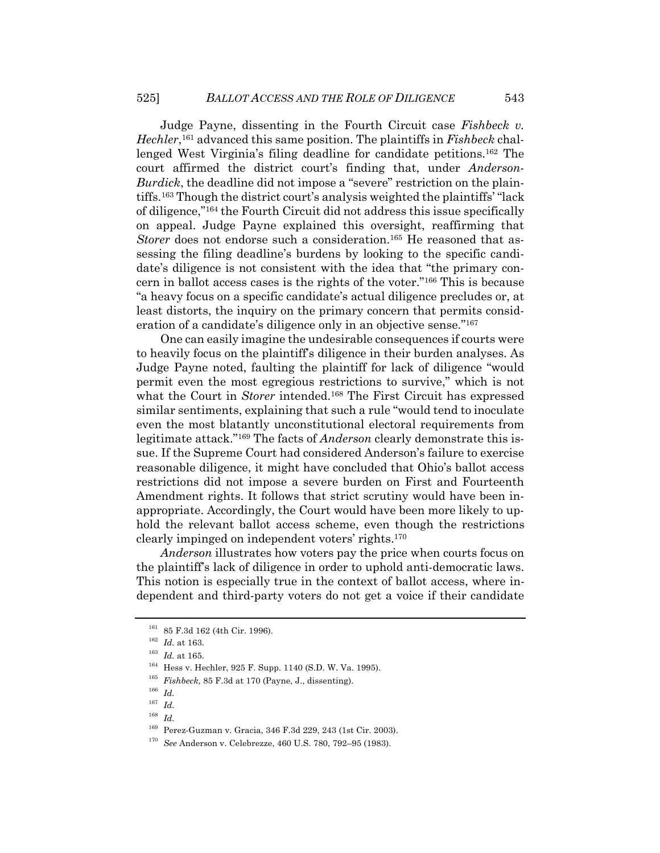Judge Payne, dissenting in the Fourth Circuit case *Fishbeck v. Hechler*,161 advanced this same position. The plaintiffs in *Fishbeck* challenged West Virginia's filing deadline for candidate petitions.162 The court affirmed the district court's finding that, under *Anderson*-*Burdick*, the deadline did not impose a "severe" restriction on the plaintiffs.163 Though the district court's analysis weighted the plaintiffs' "lack of diligence,"164 the Fourth Circuit did not address this issue specifically on appeal. Judge Payne explained this oversight, reaffirming that *Storer* does not endorse such a consideration.<sup>165</sup> He reasoned that assessing the filing deadline's burdens by looking to the specific candidate's diligence is not consistent with the idea that "the primary concern in ballot access cases is the rights of the voter."166 This is because "a heavy focus on a specific candidate's actual diligence precludes or, at least distorts, the inquiry on the primary concern that permits consideration of a candidate's diligence only in an objective sense."167

One can easily imagine the undesirable consequences if courts were to heavily focus on the plaintiff's diligence in their burden analyses. As Judge Payne noted, faulting the plaintiff for lack of diligence "would permit even the most egregious restrictions to survive," which is not what the Court in *Storer* intended.<sup>168</sup> The First Circuit has expressed similar sentiments, explaining that such a rule "would tend to inoculate even the most blatantly unconstitutional electoral requirements from legitimate attack."169 The facts of *Anderson* clearly demonstrate this issue. If the Supreme Court had considered Anderson's failure to exercise reasonable diligence, it might have concluded that Ohio's ballot access restrictions did not impose a severe burden on First and Fourteenth Amendment rights. It follows that strict scrutiny would have been inappropriate. Accordingly, the Court would have been more likely to uphold the relevant ballot access scheme, even though the restrictions clearly impinged on independent voters' rights.170

*Anderson* illustrates how voters pay the price when courts focus on the plaintiff's lack of diligence in order to uphold anti-democratic laws. This notion is especially true in the context of ballot access, where independent and third-party voters do not get a voice if their candidate

<sup>&</sup>lt;sup>161</sup> 85 F.3d 162 (4th Cir. 1996).

<sup>162</sup> *Id.* at 163.

<sup>163</sup> *Id.* at 165.

<sup>164</sup> Hess v. Hechler, 925 F. Supp. 1140 (S.D. W. Va. 1995).

<sup>165</sup> *Fishbeck*, 85 F.3d at 170 (Payne, J., dissenting).

<sup>166</sup> *Id.*

 $\frac{167}{168}$  *Id.* 

<sup>168</sup> *Id.*

<sup>169</sup> Perez-Guzman v. Gracia, 346 F.3d 229, 243 (1st Cir. 2003).

<sup>170</sup> *See* Anderson v. Celebrezze, 460 U.S. 780, 792–95 (1983).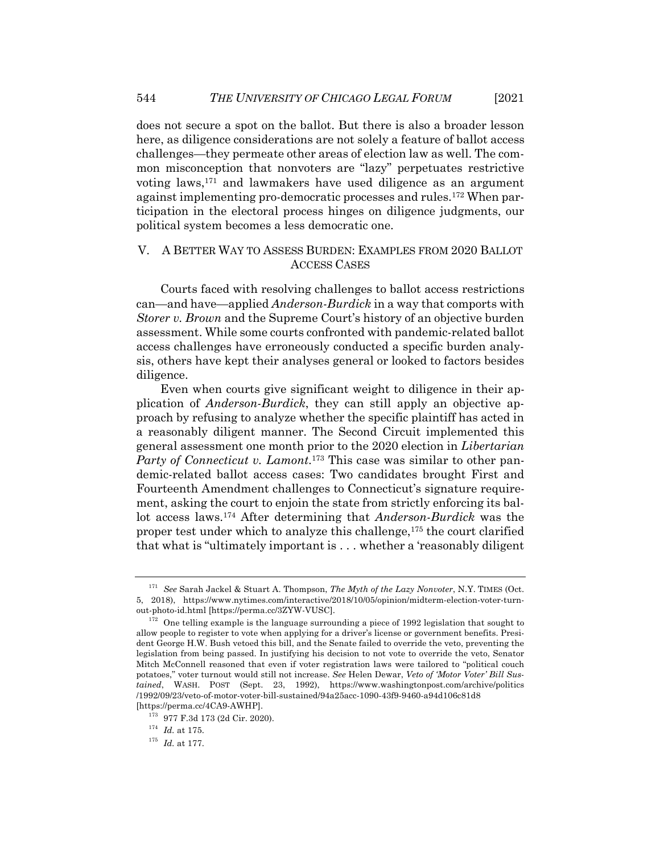does not secure a spot on the ballot. But there is also a broader lesson here, as diligence considerations are not solely a feature of ballot access challenges—they permeate other areas of election law as well. The common misconception that nonvoters are "lazy" perpetuates restrictive voting laws,171 and lawmakers have used diligence as an argument against implementing pro-democratic processes and rules.172 When participation in the electoral process hinges on diligence judgments, our political system becomes a less democratic one.

### V. A BETTER WAY TO ASSESS BURDEN: EXAMPLES FROM 2020 BALLOT ACCESS CASES

Courts faced with resolving challenges to ballot access restrictions can—and have—applied *Anderson*-*Burdick* in a way that comports with *Storer v. Brown* and the Supreme Court's history of an objective burden assessment. While some courts confronted with pandemic-related ballot access challenges have erroneously conducted a specific burden analysis, others have kept their analyses general or looked to factors besides diligence.

Even when courts give significant weight to diligence in their application of *Anderson*-*Burdick*, they can still apply an objective approach by refusing to analyze whether the specific plaintiff has acted in a reasonably diligent manner. The Second Circuit implemented this general assessment one month prior to the 2020 election in *Libertarian Party of Connecticut v. Lamont*.173 This case was similar to other pandemic-related ballot access cases: Two candidates brought First and Fourteenth Amendment challenges to Connecticut's signature requirement, asking the court to enjoin the state from strictly enforcing its ballot access laws.174 After determining that *Anderson*-*Burdick* was the proper test under which to analyze this challenge,175 the court clarified that what is "ultimately important is . . . whether a 'reasonably diligent

<sup>171</sup> *See* Sarah Jackel & Stuart A. Thompson, *The Myth of the Lazy Nonvoter*, N.Y. TIMES (Oct. 5, 2018), https://www.nytimes.com/interactive/2018/10/05/opinion/midterm-election-voter-turnout-photo-id.html [https://perma.cc/3ZYW-VUSC].

 $172$  One telling example is the language surrounding a piece of 1992 legislation that sought to allow people to register to vote when applying for a driver's license or government benefits. President George H.W. Bush vetoed this bill, and the Senate failed to override the veto, preventing the legislation from being passed. In justifying his decision to not vote to override the veto, Senator Mitch McConnell reasoned that even if voter registration laws were tailored to "political couch potatoes," voter turnout would still not increase. *See* Helen Dewar, *Veto of 'Motor Voter' Bill Sustained*, WASH. POST (Sept. 23, 1992), https://www.washingtonpost.com/archive/politics /1992/09/23/veto-of-motor-voter-bill-sustained/94a25acc-1090-43f9-9460-a94d106c81d8 [https://perma.cc/4CA9-AWHP].

<sup>173</sup> 977 F.3d 173 (2d Cir. 2020).

 $^{174}\,$   $Id.\,$  at 175.

 $175$  *Id.* at 177.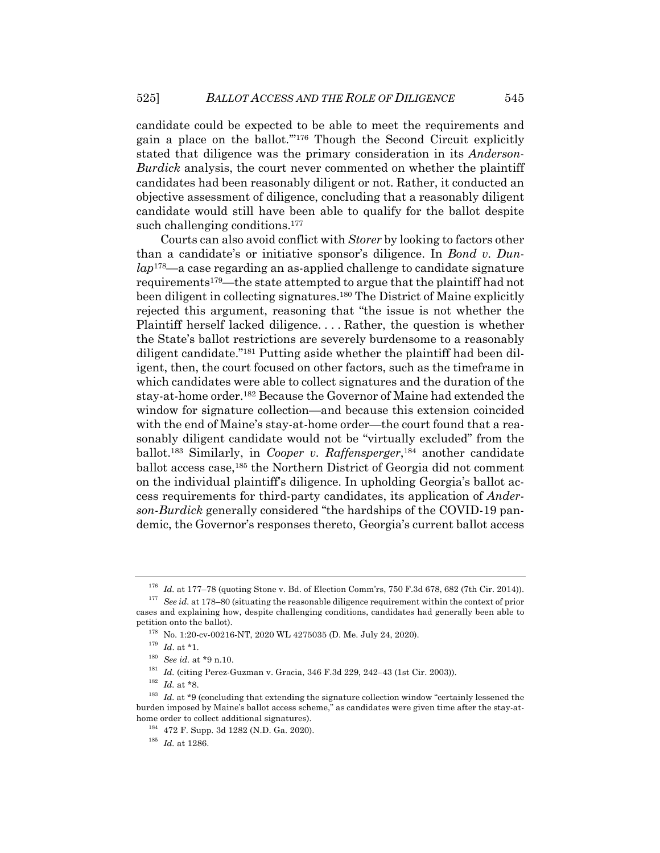candidate could be expected to be able to meet the requirements and gain a place on the ballot.'"176 Though the Second Circuit explicitly stated that diligence was the primary consideration in its *Anderson*-*Burdick* analysis, the court never commented on whether the plaintiff candidates had been reasonably diligent or not. Rather, it conducted an objective assessment of diligence, concluding that a reasonably diligent candidate would still have been able to qualify for the ballot despite such challenging conditions.<sup>177</sup>

Courts can also avoid conflict with *Storer* by looking to factors other than a candidate's or initiative sponsor's diligence. In *Bond v. Dunlap*178—a case regarding an as-applied challenge to candidate signature requirements179—the state attempted to argue that the plaintiff had not been diligent in collecting signatures.180 The District of Maine explicitly rejected this argument, reasoning that "the issue is not whether the Plaintiff herself lacked diligence. . . . Rather, the question is whether the State's ballot restrictions are severely burdensome to a reasonably diligent candidate."181 Putting aside whether the plaintiff had been diligent, then, the court focused on other factors, such as the timeframe in which candidates were able to collect signatures and the duration of the stay-at-home order.182 Because the Governor of Maine had extended the window for signature collection—and because this extension coincided with the end of Maine's stay-at-home order—the court found that a reasonably diligent candidate would not be "virtually excluded" from the ballot.183 Similarly, in *Cooper v. Raffensperger*, <sup>184</sup> another candidate ballot access case,185 the Northern District of Georgia did not comment on the individual plaintiff's diligence. In upholding Georgia's ballot access requirements for third-party candidates, its application of *Anderson*-*Burdick* generally considered "the hardships of the COVID-19 pandemic, the Governor's responses thereto, Georgia's current ballot access

<sup>&</sup>lt;sup>176</sup> *Id.* at 177-78 (quoting Stone v. Bd. of Election Comm'rs, 750 F.3d 678, 682 (7th Cir. 2014)).

<sup>177</sup> *See id.* at 178–80 (situating the reasonable diligence requirement within the context of prior cases and explaining how, despite challenging conditions, candidates had generally been able to petition onto the ballot).

<sup>178</sup> No. 1:20-cv-00216-NT, 2020 WL 4275035 (D. Me. July 24, 2020).

<sup>179</sup> *Id*. at \*1.

<sup>180</sup> *See id.* at \*9 n.10.

<sup>&</sup>lt;sup>181</sup> *Id.* (citing Perez-Guzman v. Gracia, 346 F.3d 229, 242-43 (1st Cir. 2003)).

<sup>182</sup> *Id.* at \*8.

<sup>&</sup>lt;sup>183</sup> *Id.* at \*9 (concluding that extending the signature collection window "certainly lessened the burden imposed by Maine's ballot access scheme," as candidates were given time after the stay-athome order to collect additional signatures).

<sup>184</sup> 472 F. Supp. 3d 1282 (N.D. Ga. 2020).

<sup>185</sup> *Id.* at 1286.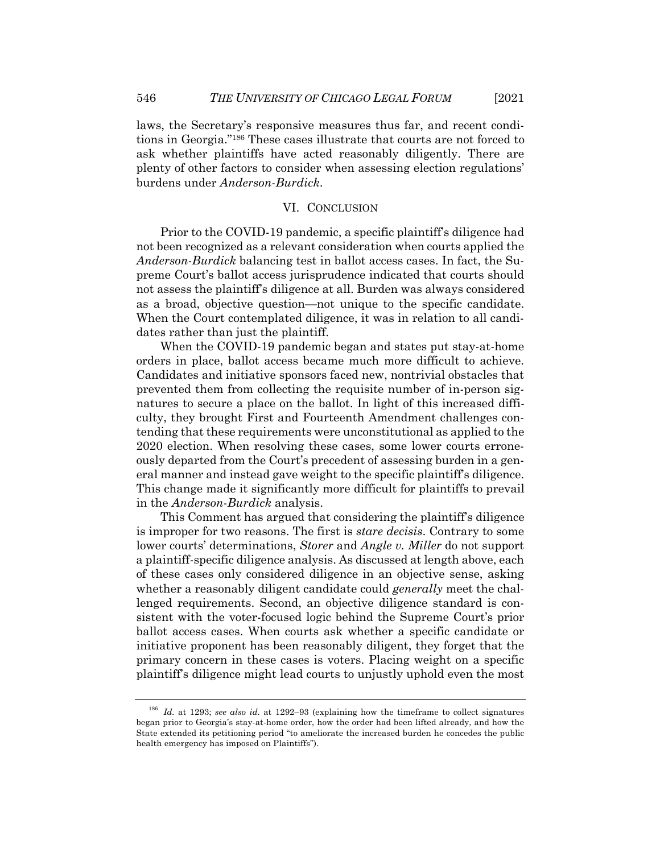laws, the Secretary's responsive measures thus far, and recent conditions in Georgia."186 These cases illustrate that courts are not forced to ask whether plaintiffs have acted reasonably diligently. There are plenty of other factors to consider when assessing election regulations' burdens under *Anderson*-*Burdick*.

#### VI. CONCLUSION

Prior to the COVID-19 pandemic, a specific plaintiff's diligence had not been recognized as a relevant consideration when courts applied the *Anderson*-*Burdick* balancing test in ballot access cases. In fact, the Supreme Court's ballot access jurisprudence indicated that courts should not assess the plaintiff's diligence at all. Burden was always considered as a broad, objective question—not unique to the specific candidate. When the Court contemplated diligence, it was in relation to all candidates rather than just the plaintiff.

When the COVID-19 pandemic began and states put stay-at-home orders in place, ballot access became much more difficult to achieve. Candidates and initiative sponsors faced new, nontrivial obstacles that prevented them from collecting the requisite number of in-person signatures to secure a place on the ballot. In light of this increased difficulty, they brought First and Fourteenth Amendment challenges contending that these requirements were unconstitutional as applied to the 2020 election. When resolving these cases, some lower courts erroneously departed from the Court's precedent of assessing burden in a general manner and instead gave weight to the specific plaintiff's diligence. This change made it significantly more difficult for plaintiffs to prevail in the *Anderson*-*Burdick* analysis.

This Comment has argued that considering the plaintiff's diligence is improper for two reasons. The first is *stare decisis*. Contrary to some lower courts' determinations, *Storer* and *Angle v. Miller* do not support a plaintiff-specific diligence analysis. As discussed at length above, each of these cases only considered diligence in an objective sense, asking whether a reasonably diligent candidate could *generally* meet the challenged requirements. Second, an objective diligence standard is consistent with the voter-focused logic behind the Supreme Court's prior ballot access cases. When courts ask whether a specific candidate or initiative proponent has been reasonably diligent, they forget that the primary concern in these cases is voters. Placing weight on a specific plaintiff's diligence might lead courts to unjustly uphold even the most

<sup>186</sup> *Id.* at 1293; *see also id.* at 1292–93 (explaining how the timeframe to collect signatures began prior to Georgia's stay-at-home order, how the order had been lifted already, and how the State extended its petitioning period "to ameliorate the increased burden he concedes the public health emergency has imposed on Plaintiffs").